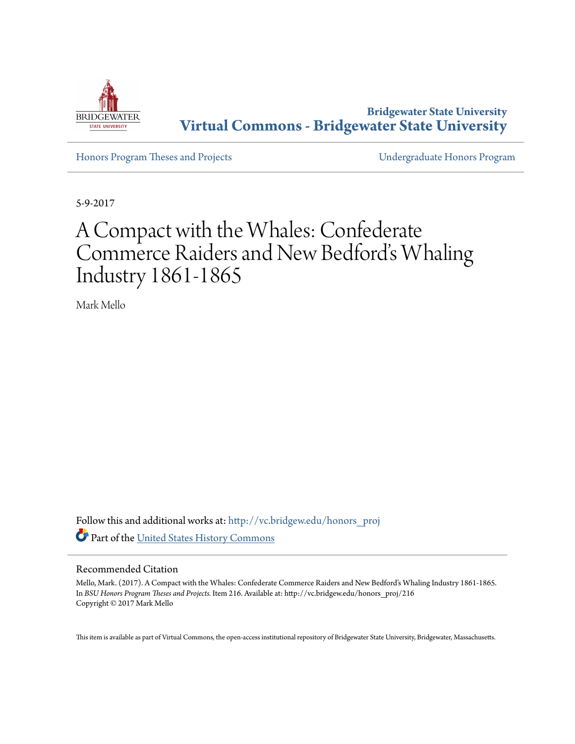

**Bridgewater State University [Virtual Commons - Bridgewater State University](http://vc.bridgew.edu?utm_source=vc.bridgew.edu%2Fhonors_proj%2F216&utm_medium=PDF&utm_campaign=PDFCoverPages)**

[Honors Program Theses and Projects](http://vc.bridgew.edu/honors_proj?utm_source=vc.bridgew.edu%2Fhonors_proj%2F216&utm_medium=PDF&utm_campaign=PDFCoverPages) [Undergraduate Honors Program](http://vc.bridgew.edu/honors?utm_source=vc.bridgew.edu%2Fhonors_proj%2F216&utm_medium=PDF&utm_campaign=PDFCoverPages)

5-9-2017

## A Compact with the Whales: Confederate Commerce Raiders and New Bedford's Whaling Industry 1861-1865

Mark Mello

Follow this and additional works at: [http://vc.bridgew.edu/honors\\_proj](http://vc.bridgew.edu/honors_proj?utm_source=vc.bridgew.edu%2Fhonors_proj%2F216&utm_medium=PDF&utm_campaign=PDFCoverPages) Part of the [United States History Commons](http://network.bepress.com/hgg/discipline/495?utm_source=vc.bridgew.edu%2Fhonors_proj%2F216&utm_medium=PDF&utm_campaign=PDFCoverPages)

## Recommended Citation

Mello, Mark. (2017). A Compact with the Whales: Confederate Commerce Raiders and New Bedford's Whaling Industry 1861-1865. In *BSU Honors Program Theses and Projects.* Item 216. Available at: http://vc.bridgew.edu/honors\_proj/216 Copyright © 2017 Mark Mello

This item is available as part of Virtual Commons, the open-access institutional repository of Bridgewater State University, Bridgewater, Massachusetts.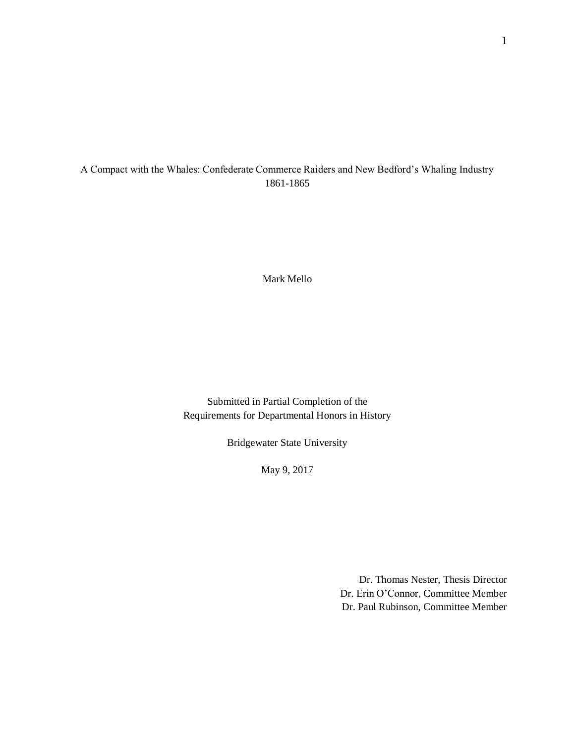## A Compact with the Whales: Confederate Commerce Raiders and New Bedford's Whaling Industry 1861-1865

Mark Mello

Submitted in Partial Completion of the Requirements for Departmental Honors in History

Bridgewater State University

May 9, 2017

Dr. Thomas Nester, Thesis Director Dr. Erin O'Connor, Committee Member Dr. Paul Rubinson, Committee Member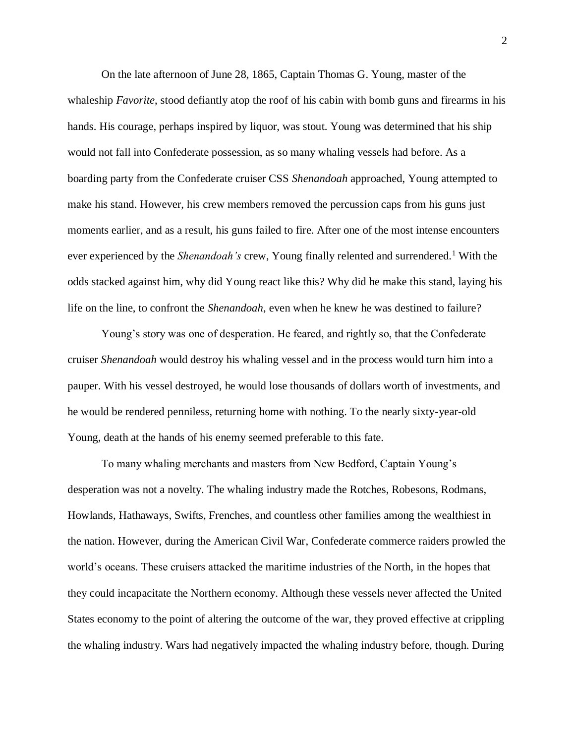On the late afternoon of June 28, 1865, Captain Thomas G. Young, master of the whaleship *Favorite*, stood defiantly atop the roof of his cabin with bomb guns and firearms in his hands. His courage, perhaps inspired by liquor, was stout. Young was determined that his ship would not fall into Confederate possession, as so many whaling vessels had before. As a boarding party from the Confederate cruiser CSS *Shenandoah* approached, Young attempted to make his stand. However, his crew members removed the percussion caps from his guns just moments earlier, and as a result, his guns failed to fire. After one of the most intense encounters ever experienced by the *Shenandoah's* crew, Young finally relented and surrendered.<sup>1</sup> With the odds stacked against him, why did Young react like this? Why did he make this stand, laying his life on the line, to confront the *Shenandoah*, even when he knew he was destined to failure?

Young's story was one of desperation. He feared, and rightly so, that the Confederate cruiser *Shenandoah* would destroy his whaling vessel and in the process would turn him into a pauper. With his vessel destroyed, he would lose thousands of dollars worth of investments, and he would be rendered penniless, returning home with nothing. To the nearly sixty-year-old Young, death at the hands of his enemy seemed preferable to this fate.

To many whaling merchants and masters from New Bedford, Captain Young's desperation was not a novelty. The whaling industry made the Rotches, Robesons, Rodmans, Howlands, Hathaways, Swifts, Frenches, and countless other families among the wealthiest in the nation. However, during the American Civil War, Confederate commerce raiders prowled the world's oceans. These cruisers attacked the maritime industries of the North, in the hopes that they could incapacitate the Northern economy. Although these vessels never affected the United States economy to the point of altering the outcome of the war, they proved effective at crippling the whaling industry. Wars had negatively impacted the whaling industry before, though. During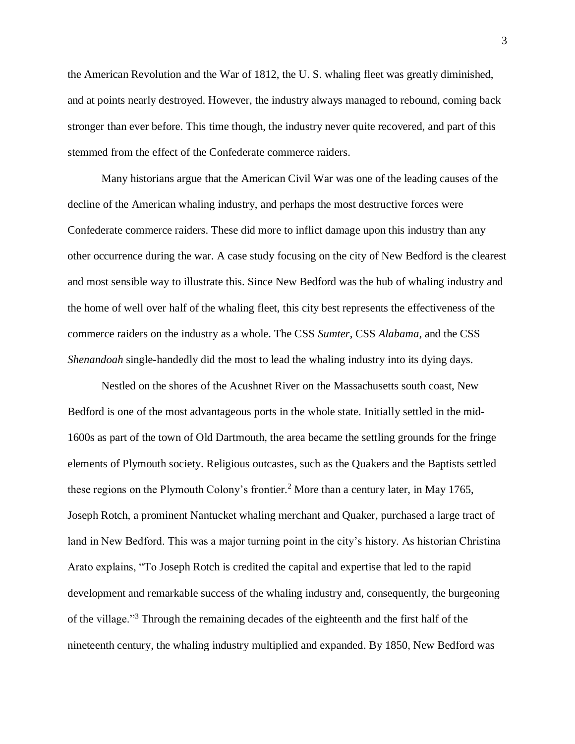the American Revolution and the War of 1812, the U. S. whaling fleet was greatly diminished, and at points nearly destroyed. However, the industry always managed to rebound, coming back stronger than ever before. This time though, the industry never quite recovered, and part of this stemmed from the effect of the Confederate commerce raiders.

Many historians argue that the American Civil War was one of the leading causes of the decline of the American whaling industry, and perhaps the most destructive forces were Confederate commerce raiders. These did more to inflict damage upon this industry than any other occurrence during the war. A case study focusing on the city of New Bedford is the clearest and most sensible way to illustrate this. Since New Bedford was the hub of whaling industry and the home of well over half of the whaling fleet, this city best represents the effectiveness of the commerce raiders on the industry as a whole. The CSS *Sumter*, CSS *Alabama*, and the CSS *Shenandoah* single-handedly did the most to lead the whaling industry into its dying days.

Nestled on the shores of the Acushnet River on the Massachusetts south coast, New Bedford is one of the most advantageous ports in the whole state. Initially settled in the mid-1600s as part of the town of Old Dartmouth, the area became the settling grounds for the fringe elements of Plymouth society. Religious outcastes, such as the Quakers and the Baptists settled these regions on the Plymouth Colony's frontier.<sup>2</sup> More than a century later, in May 1765, Joseph Rotch, a prominent Nantucket whaling merchant and Quaker, purchased a large tract of land in New Bedford. This was a major turning point in the city's history. As historian Christina Arato explains, "To Joseph Rotch is credited the capital and expertise that led to the rapid development and remarkable success of the whaling industry and, consequently, the burgeoning of the village."<sup>3</sup> Through the remaining decades of the eighteenth and the first half of the nineteenth century, the whaling industry multiplied and expanded. By 1850, New Bedford was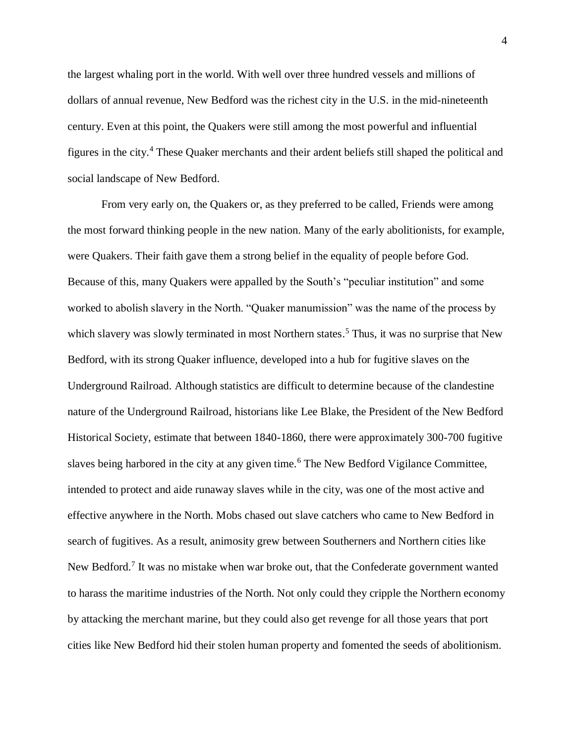the largest whaling port in the world. With well over three hundred vessels and millions of dollars of annual revenue, New Bedford was the richest city in the U.S. in the mid-nineteenth century. Even at this point, the Quakers were still among the most powerful and influential figures in the city.<sup>4</sup> These Quaker merchants and their ardent beliefs still shaped the political and social landscape of New Bedford.

From very early on, the Quakers or, as they preferred to be called, Friends were among the most forward thinking people in the new nation. Many of the early abolitionists, for example, were Quakers. Their faith gave them a strong belief in the equality of people before God. Because of this, many Quakers were appalled by the South's "peculiar institution" and some worked to abolish slavery in the North. "Quaker manumission" was the name of the process by which slavery was slowly terminated in most Northern states.<sup>5</sup> Thus, it was no surprise that New Bedford, with its strong Quaker influence, developed into a hub for fugitive slaves on the Underground Railroad. Although statistics are difficult to determine because of the clandestine nature of the Underground Railroad, historians like Lee Blake, the President of the New Bedford Historical Society, estimate that between 1840-1860, there were approximately 300-700 fugitive slaves being harbored in the city at any given time.<sup>6</sup> The New Bedford Vigilance Committee, intended to protect and aide runaway slaves while in the city, was one of the most active and effective anywhere in the North. Mobs chased out slave catchers who came to New Bedford in search of fugitives. As a result, animosity grew between Southerners and Northern cities like New Bedford.<sup>7</sup> It was no mistake when war broke out, that the Confederate government wanted to harass the maritime industries of the North. Not only could they cripple the Northern economy by attacking the merchant marine, but they could also get revenge for all those years that port cities like New Bedford hid their stolen human property and fomented the seeds of abolitionism.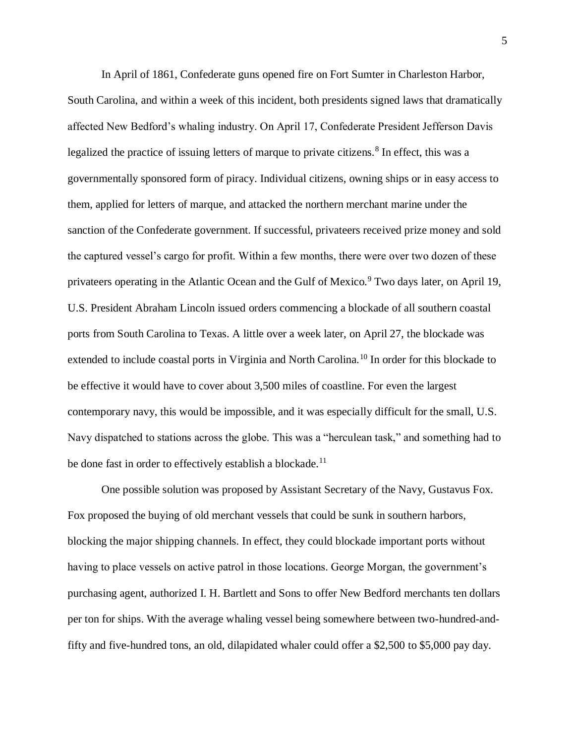In April of 1861, Confederate guns opened fire on Fort Sumter in Charleston Harbor, South Carolina, and within a week of this incident, both presidents signed laws that dramatically affected New Bedford's whaling industry. On April 17, Confederate President Jefferson Davis legalized the practice of issuing letters of marque to private citizens.<sup>8</sup> In effect, this was a governmentally sponsored form of piracy. Individual citizens, owning ships or in easy access to them, applied for letters of marque, and attacked the northern merchant marine under the sanction of the Confederate government. If successful, privateers received prize money and sold the captured vessel's cargo for profit. Within a few months, there were over two dozen of these privateers operating in the Atlantic Ocean and the Gulf of Mexico.<sup>9</sup> Two days later, on April 19, U.S. President Abraham Lincoln issued orders commencing a blockade of all southern coastal ports from South Carolina to Texas. A little over a week later, on April 27, the blockade was extended to include coastal ports in Virginia and North Carolina.<sup>10</sup> In order for this blockade to be effective it would have to cover about 3,500 miles of coastline. For even the largest contemporary navy, this would be impossible, and it was especially difficult for the small, U.S. Navy dispatched to stations across the globe. This was a "herculean task," and something had to be done fast in order to effectively establish a blockade.<sup>11</sup>

One possible solution was proposed by Assistant Secretary of the Navy, Gustavus Fox. Fox proposed the buying of old merchant vessels that could be sunk in southern harbors, blocking the major shipping channels. In effect, they could blockade important ports without having to place vessels on active patrol in those locations. George Morgan, the government's purchasing agent, authorized I. H. Bartlett and Sons to offer New Bedford merchants ten dollars per ton for ships. With the average whaling vessel being somewhere between two-hundred-andfifty and five-hundred tons, an old, dilapidated whaler could offer a \$2,500 to \$5,000 pay day.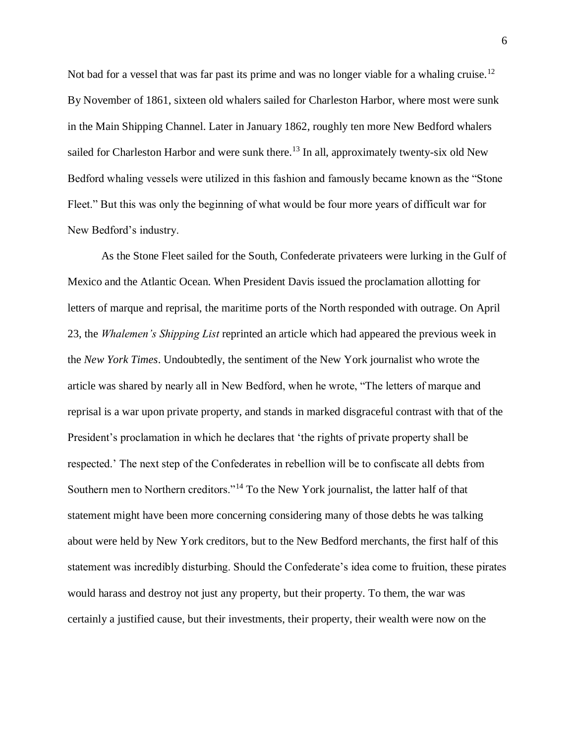Not bad for a vessel that was far past its prime and was no longer viable for a whaling cruise.<sup>12</sup> By November of 1861, sixteen old whalers sailed for Charleston Harbor, where most were sunk in the Main Shipping Channel. Later in January 1862, roughly ten more New Bedford whalers sailed for Charleston Harbor and were sunk there.<sup>13</sup> In all, approximately twenty-six old New Bedford whaling vessels were utilized in this fashion and famously became known as the "Stone Fleet." But this was only the beginning of what would be four more years of difficult war for New Bedford's industry.

As the Stone Fleet sailed for the South, Confederate privateers were lurking in the Gulf of Mexico and the Atlantic Ocean. When President Davis issued the proclamation allotting for letters of marque and reprisal, the maritime ports of the North responded with outrage. On April 23, the *Whalemen's Shipping List* reprinted an article which had appeared the previous week in the *New York Times*. Undoubtedly, the sentiment of the New York journalist who wrote the article was shared by nearly all in New Bedford, when he wrote, "The letters of marque and reprisal is a war upon private property, and stands in marked disgraceful contrast with that of the President's proclamation in which he declares that 'the rights of private property shall be respected.' The next step of the Confederates in rebellion will be to confiscate all debts from Southern men to Northern creditors."<sup>14</sup> To the New York journalist, the latter half of that statement might have been more concerning considering many of those debts he was talking about were held by New York creditors, but to the New Bedford merchants, the first half of this statement was incredibly disturbing. Should the Confederate's idea come to fruition, these pirates would harass and destroy not just any property, but their property. To them, the war was certainly a justified cause, but their investments, their property, their wealth were now on the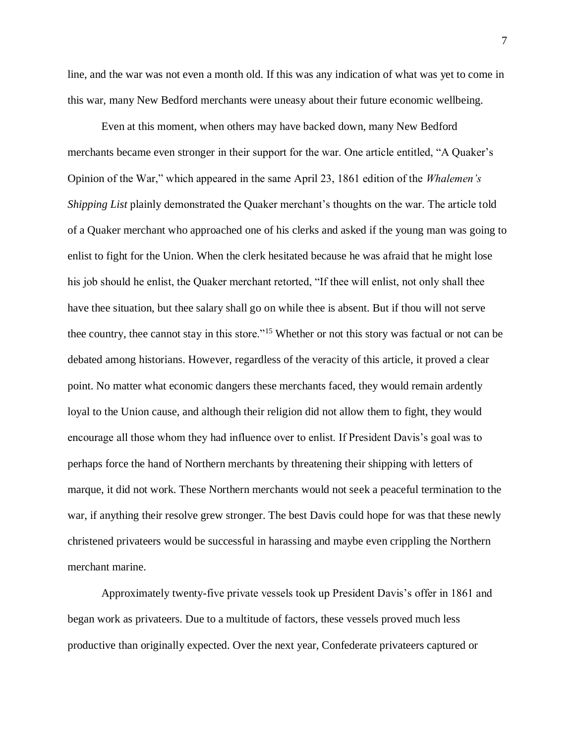line, and the war was not even a month old. If this was any indication of what was yet to come in this war, many New Bedford merchants were uneasy about their future economic wellbeing.

Even at this moment, when others may have backed down, many New Bedford merchants became even stronger in their support for the war. One article entitled, "A Quaker's Opinion of the War," which appeared in the same April 23, 1861 edition of the *Whalemen's Shipping List* plainly demonstrated the Quaker merchant's thoughts on the war. The article told of a Quaker merchant who approached one of his clerks and asked if the young man was going to enlist to fight for the Union. When the clerk hesitated because he was afraid that he might lose his job should he enlist, the Quaker merchant retorted, "If thee will enlist, not only shall thee have thee situation, but thee salary shall go on while thee is absent. But if thou will not serve thee country, thee cannot stay in this store."<sup>15</sup> Whether or not this story was factual or not can be debated among historians. However, regardless of the veracity of this article, it proved a clear point. No matter what economic dangers these merchants faced, they would remain ardently loyal to the Union cause, and although their religion did not allow them to fight, they would encourage all those whom they had influence over to enlist. If President Davis's goal was to perhaps force the hand of Northern merchants by threatening their shipping with letters of marque, it did not work. These Northern merchants would not seek a peaceful termination to the war, if anything their resolve grew stronger. The best Davis could hope for was that these newly christened privateers would be successful in harassing and maybe even crippling the Northern merchant marine.

Approximately twenty-five private vessels took up President Davis's offer in 1861 and began work as privateers. Due to a multitude of factors, these vessels proved much less productive than originally expected. Over the next year, Confederate privateers captured or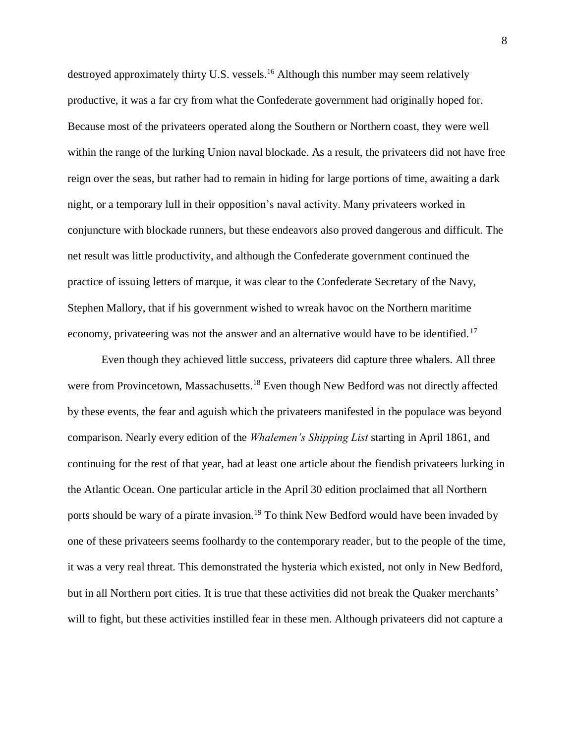destroyed approximately thirty U.S. vessels.<sup>16</sup> Although this number may seem relatively productive, it was a far cry from what the Confederate government had originally hoped for. Because most of the privateers operated along the Southern or Northern coast, they were well within the range of the lurking Union naval blockade. As a result, the privateers did not have free reign over the seas, but rather had to remain in hiding for large portions of time, awaiting a dark night, or a temporary lull in their opposition's naval activity. Many privateers worked in conjuncture with blockade runners, but these endeavors also proved dangerous and difficult. The net result was little productivity, and although the Confederate government continued the practice of issuing letters of marque, it was clear to the Confederate Secretary of the Navy, Stephen Mallory, that if his government wished to wreak havoc on the Northern maritime economy, privateering was not the answer and an alternative would have to be identified.<sup>17</sup>

Even though they achieved little success, privateers did capture three whalers. All three were from Provincetown, Massachusetts.<sup>18</sup> Even though New Bedford was not directly affected by these events, the fear and aguish which the privateers manifested in the populace was beyond comparison. Nearly every edition of the *Whalemen's Shipping List* starting in April 1861, and continuing for the rest of that year, had at least one article about the fiendish privateers lurking in the Atlantic Ocean. One particular article in the April 30 edition proclaimed that all Northern ports should be wary of a pirate invasion.<sup>19</sup> To think New Bedford would have been invaded by one of these privateers seems foolhardy to the contemporary reader, but to the people of the time, it was a very real threat. This demonstrated the hysteria which existed, not only in New Bedford, but in all Northern port cities. It is true that these activities did not break the Quaker merchants' will to fight, but these activities instilled fear in these men. Although privateers did not capture a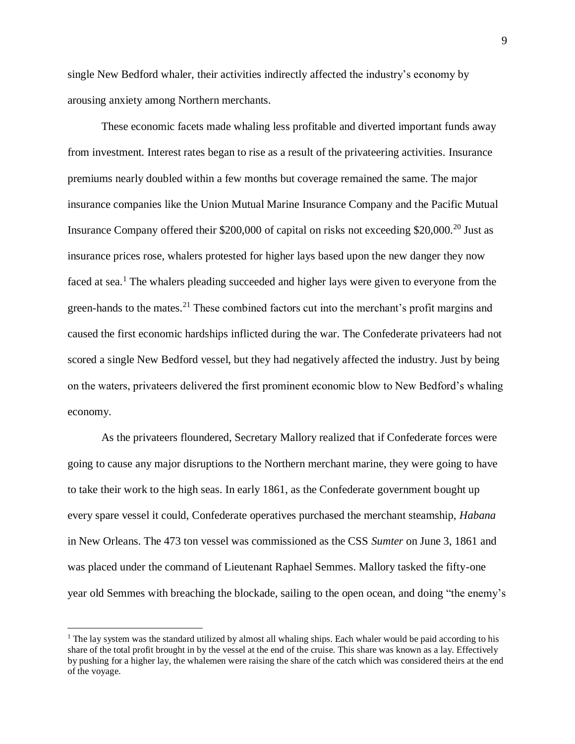single New Bedford whaler, their activities indirectly affected the industry's economy by arousing anxiety among Northern merchants.

These economic facets made whaling less profitable and diverted important funds away from investment. Interest rates began to rise as a result of the privateering activities. Insurance premiums nearly doubled within a few months but coverage remained the same. The major insurance companies like the Union Mutual Marine Insurance Company and the Pacific Mutual Insurance Company offered their \$200,000 of capital on risks not exceeding \$20,000.<sup>20</sup> Just as insurance prices rose, whalers protested for higher lays based upon the new danger they now faced at sea.<sup>1</sup> The whalers pleading succeeded and higher lays were given to everyone from the green-hands to the mates.<sup>21</sup> These combined factors cut into the merchant's profit margins and caused the first economic hardships inflicted during the war. The Confederate privateers had not scored a single New Bedford vessel, but they had negatively affected the industry. Just by being on the waters, privateers delivered the first prominent economic blow to New Bedford's whaling economy.

As the privateers floundered, Secretary Mallory realized that if Confederate forces were going to cause any major disruptions to the Northern merchant marine, they were going to have to take their work to the high seas. In early 1861, as the Confederate government bought up every spare vessel it could, Confederate operatives purchased the merchant steamship, *Habana* in New Orleans. The 473 ton vessel was commissioned as the CSS *Sumter* on June 3, 1861 and was placed under the command of Lieutenant Raphael Semmes. Mallory tasked the fifty-one year old Semmes with breaching the blockade, sailing to the open ocean, and doing "the enemy's

l

<sup>&</sup>lt;sup>1</sup> The lay system was the standard utilized by almost all whaling ships. Each whaler would be paid according to his share of the total profit brought in by the vessel at the end of the cruise. This share was known as a lay. Effectively by pushing for a higher lay, the whalemen were raising the share of the catch which was considered theirs at the end of the voyage.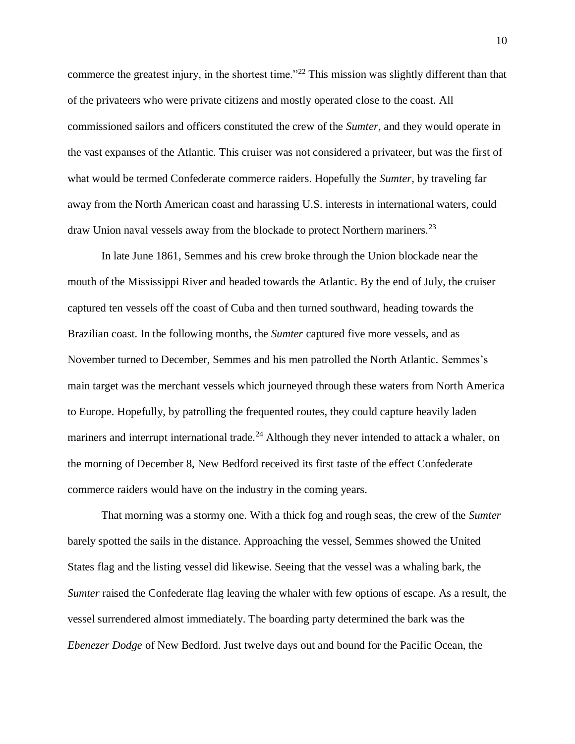commerce the greatest injury, in the shortest time."<sup>22</sup> This mission was slightly different than that of the privateers who were private citizens and mostly operated close to the coast. All commissioned sailors and officers constituted the crew of the *Sumter,* and they would operate in the vast expanses of the Atlantic. This cruiser was not considered a privateer, but was the first of what would be termed Confederate commerce raiders. Hopefully the *Sumter*, by traveling far away from the North American coast and harassing U.S. interests in international waters, could draw Union naval vessels away from the blockade to protect Northern mariners.<sup>23</sup>

In late June 1861, Semmes and his crew broke through the Union blockade near the mouth of the Mississippi River and headed towards the Atlantic. By the end of July, the cruiser captured ten vessels off the coast of Cuba and then turned southward, heading towards the Brazilian coast. In the following months, the *Sumter* captured five more vessels, and as November turned to December, Semmes and his men patrolled the North Atlantic. Semmes's main target was the merchant vessels which journeyed through these waters from North America to Europe. Hopefully, by patrolling the frequented routes, they could capture heavily laden mariners and interrupt international trade.<sup>24</sup> Although they never intended to attack a whaler, on the morning of December 8, New Bedford received its first taste of the effect Confederate commerce raiders would have on the industry in the coming years.

That morning was a stormy one. With a thick fog and rough seas, the crew of the *Sumter* barely spotted the sails in the distance. Approaching the vessel, Semmes showed the United States flag and the listing vessel did likewise. Seeing that the vessel was a whaling bark, the *Sumter* raised the Confederate flag leaving the whaler with few options of escape. As a result, the vessel surrendered almost immediately. The boarding party determined the bark was the *Ebenezer Dodge* of New Bedford. Just twelve days out and bound for the Pacific Ocean, the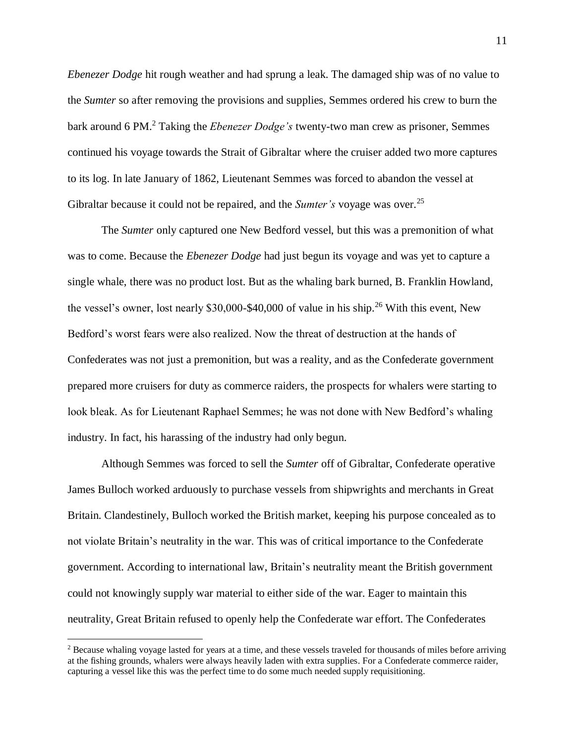*Ebenezer Dodge* hit rough weather and had sprung a leak. The damaged ship was of no value to the *Sumter* so after removing the provisions and supplies, Semmes ordered his crew to burn the bark around 6 PM.<sup>2</sup> Taking the *Ebenezer Dodge's* twenty-two man crew as prisoner, Semmes continued his voyage towards the Strait of Gibraltar where the cruiser added two more captures to its log. In late January of 1862, Lieutenant Semmes was forced to abandon the vessel at Gibraltar because it could not be repaired, and the *Sumter's* voyage was over.<sup>25</sup>

The *Sumter* only captured one New Bedford vessel, but this was a premonition of what was to come. Because the *Ebenezer Dodge* had just begun its voyage and was yet to capture a single whale, there was no product lost. But as the whaling bark burned, B. Franklin Howland, the vessel's owner, lost nearly  $$30,000$ - $$40,000$  of value in his ship.<sup>26</sup> With this event, New Bedford's worst fears were also realized. Now the threat of destruction at the hands of Confederates was not just a premonition, but was a reality, and as the Confederate government prepared more cruisers for duty as commerce raiders, the prospects for whalers were starting to look bleak. As for Lieutenant Raphael Semmes; he was not done with New Bedford's whaling industry. In fact, his harassing of the industry had only begun.

Although Semmes was forced to sell the *Sumter* off of Gibraltar, Confederate operative James Bulloch worked arduously to purchase vessels from shipwrights and merchants in Great Britain. Clandestinely, Bulloch worked the British market, keeping his purpose concealed as to not violate Britain's neutrality in the war. This was of critical importance to the Confederate government. According to international law, Britain's neutrality meant the British government could not knowingly supply war material to either side of the war. Eager to maintain this neutrality, Great Britain refused to openly help the Confederate war effort. The Confederates

 $\overline{\phantom{a}}$ 

<sup>2</sup> Because whaling voyage lasted for years at a time, and these vessels traveled for thousands of miles before arriving at the fishing grounds, whalers were always heavily laden with extra supplies. For a Confederate commerce raider, capturing a vessel like this was the perfect time to do some much needed supply requisitioning.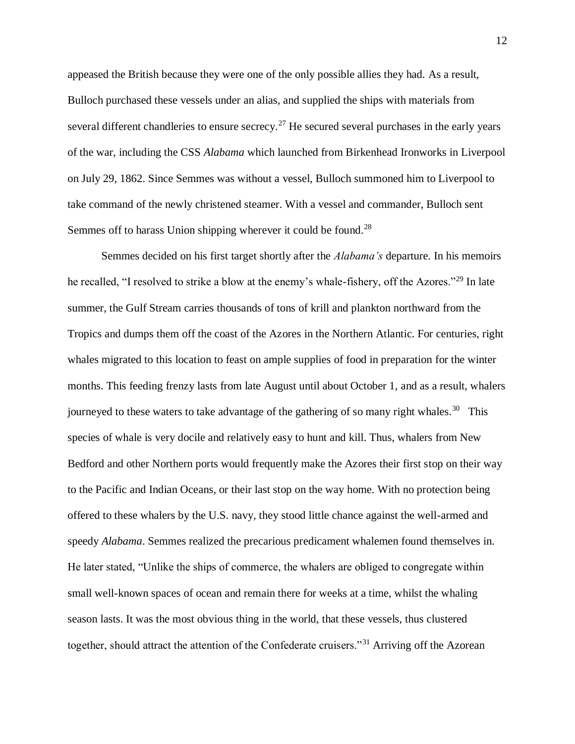appeased the British because they were one of the only possible allies they had. As a result, Bulloch purchased these vessels under an alias, and supplied the ships with materials from several different chandleries to ensure secrecy.<sup>27</sup> He secured several purchases in the early years of the war, including the CSS *Alabama* which launched from Birkenhead Ironworks in Liverpool on July 29, 1862. Since Semmes was without a vessel, Bulloch summoned him to Liverpool to take command of the newly christened steamer. With a vessel and commander, Bulloch sent Semmes off to harass Union shipping wherever it could be found.<sup>28</sup>

Semmes decided on his first target shortly after the *Alabama's* departure. In his memoirs he recalled, "I resolved to strike a blow at the enemy's whale-fishery, off the Azores."<sup>29</sup> In late summer, the Gulf Stream carries thousands of tons of krill and plankton northward from the Tropics and dumps them off the coast of the Azores in the Northern Atlantic. For centuries, right whales migrated to this location to feast on ample supplies of food in preparation for the winter months. This feeding frenzy lasts from late August until about October 1, and as a result, whalers journeyed to these waters to take advantage of the gathering of so many right whales.<sup>30</sup> This species of whale is very docile and relatively easy to hunt and kill. Thus, whalers from New Bedford and other Northern ports would frequently make the Azores their first stop on their way to the Pacific and Indian Oceans, or their last stop on the way home. With no protection being offered to these whalers by the U.S. navy, they stood little chance against the well-armed and speedy *Alabama*. Semmes realized the precarious predicament whalemen found themselves in. He later stated, "Unlike the ships of commerce, the whalers are obliged to congregate within small well-known spaces of ocean and remain there for weeks at a time, whilst the whaling season lasts. It was the most obvious thing in the world, that these vessels, thus clustered together, should attract the attention of the Confederate cruisers."<sup>31</sup> Arriving off the Azorean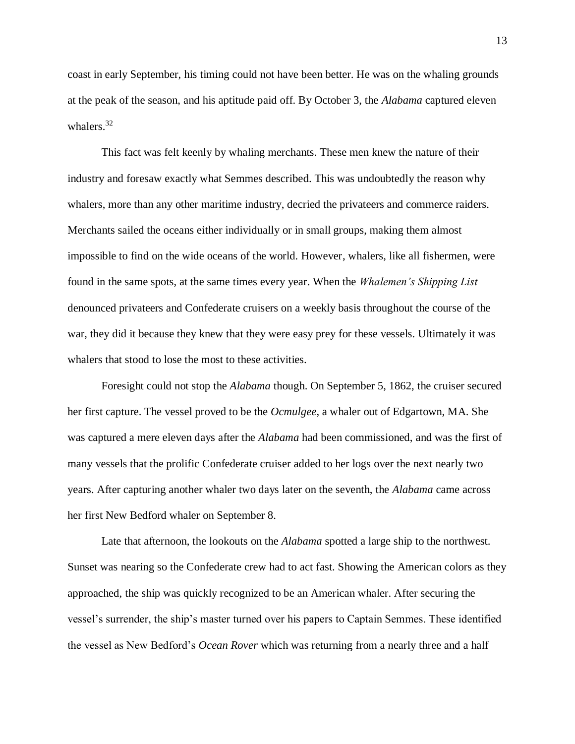coast in early September, his timing could not have been better. He was on the whaling grounds at the peak of the season, and his aptitude paid off. By October 3, the *Alabama* captured eleven whalers.<sup>32</sup>

This fact was felt keenly by whaling merchants. These men knew the nature of their industry and foresaw exactly what Semmes described. This was undoubtedly the reason why whalers, more than any other maritime industry, decried the privateers and commerce raiders. Merchants sailed the oceans either individually or in small groups, making them almost impossible to find on the wide oceans of the world. However, whalers, like all fishermen, were found in the same spots, at the same times every year. When the *Whalemen's Shipping List* denounced privateers and Confederate cruisers on a weekly basis throughout the course of the war, they did it because they knew that they were easy prey for these vessels. Ultimately it was whalers that stood to lose the most to these activities.

Foresight could not stop the *Alabama* though. On September 5, 1862, the cruiser secured her first capture. The vessel proved to be the *Ocmulgee*, a whaler out of Edgartown, MA. She was captured a mere eleven days after the *Alabama* had been commissioned, and was the first of many vessels that the prolific Confederate cruiser added to her logs over the next nearly two years. After capturing another whaler two days later on the seventh, the *Alabama* came across her first New Bedford whaler on September 8.

Late that afternoon, the lookouts on the *Alabama* spotted a large ship to the northwest. Sunset was nearing so the Confederate crew had to act fast. Showing the American colors as they approached, the ship was quickly recognized to be an American whaler. After securing the vessel's surrender, the ship's master turned over his papers to Captain Semmes. These identified the vessel as New Bedford's *Ocean Rover* which was returning from a nearly three and a half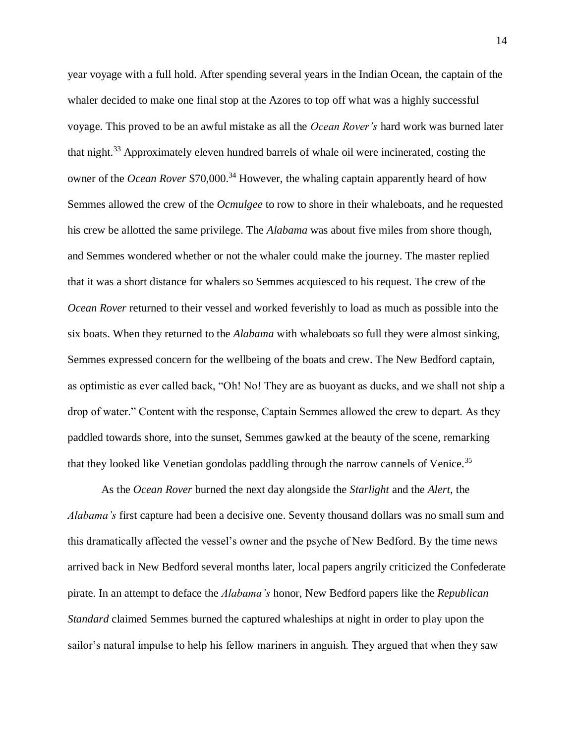year voyage with a full hold. After spending several years in the Indian Ocean, the captain of the whaler decided to make one final stop at the Azores to top off what was a highly successful voyage. This proved to be an awful mistake as all the *Ocean Rover's* hard work was burned later that night.<sup>33</sup> Approximately eleven hundred barrels of whale oil were incinerated, costing the owner of the *Ocean Rover* \$70,000.<sup>34</sup> However, the whaling captain apparently heard of how Semmes allowed the crew of the *Ocmulgee* to row to shore in their whaleboats, and he requested his crew be allotted the same privilege. The *Alabama* was about five miles from shore though, and Semmes wondered whether or not the whaler could make the journey. The master replied that it was a short distance for whalers so Semmes acquiesced to his request. The crew of the *Ocean Rover* returned to their vessel and worked feverishly to load as much as possible into the six boats. When they returned to the *Alabama* with whaleboats so full they were almost sinking, Semmes expressed concern for the wellbeing of the boats and crew. The New Bedford captain, as optimistic as ever called back, "Oh! No! They are as buoyant as ducks, and we shall not ship a drop of water." Content with the response, Captain Semmes allowed the crew to depart. As they paddled towards shore, into the sunset, Semmes gawked at the beauty of the scene, remarking that they looked like Venetian gondolas paddling through the narrow cannels of Venice.<sup>35</sup>

As the *Ocean Rover* burned the next day alongside the *Starlight* and the *Alert*, the *Alabama's* first capture had been a decisive one. Seventy thousand dollars was no small sum and this dramatically affected the vessel's owner and the psyche of New Bedford. By the time news arrived back in New Bedford several months later, local papers angrily criticized the Confederate pirate. In an attempt to deface the *Alabama's* honor, New Bedford papers like the *Republican Standard* claimed Semmes burned the captured whaleships at night in order to play upon the sailor's natural impulse to help his fellow mariners in anguish. They argued that when they saw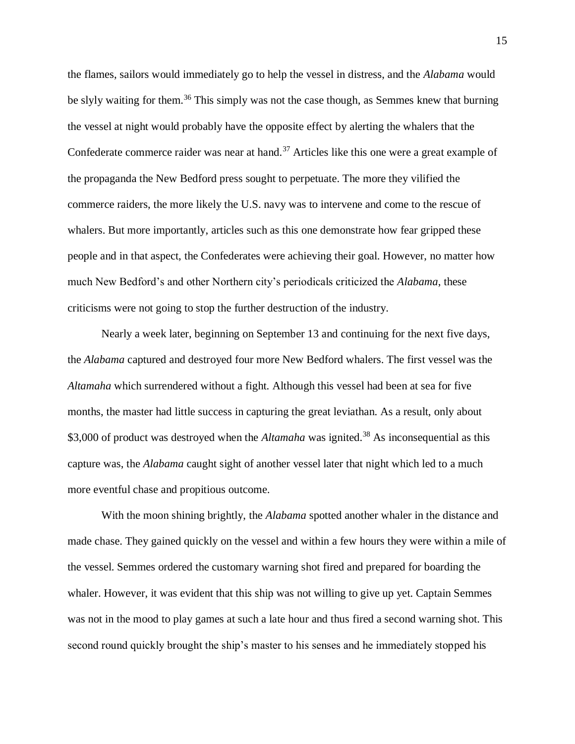the flames, sailors would immediately go to help the vessel in distress, and the *Alabama* would be slyly waiting for them.<sup>36</sup> This simply was not the case though, as Semmes knew that burning the vessel at night would probably have the opposite effect by alerting the whalers that the Confederate commerce raider was near at hand.<sup>37</sup> Articles like this one were a great example of the propaganda the New Bedford press sought to perpetuate. The more they vilified the commerce raiders, the more likely the U.S. navy was to intervene and come to the rescue of whalers. But more importantly, articles such as this one demonstrate how fear gripped these people and in that aspect, the Confederates were achieving their goal. However, no matter how much New Bedford's and other Northern city's periodicals criticized the *Alabama*, these criticisms were not going to stop the further destruction of the industry.

Nearly a week later, beginning on September 13 and continuing for the next five days, the *Alabama* captured and destroyed four more New Bedford whalers. The first vessel was the *Altamaha* which surrendered without a fight. Although this vessel had been at sea for five months, the master had little success in capturing the great leviathan. As a result, only about \$3,000 of product was destroyed when the *Altamaha* was ignited.<sup>38</sup> As inconsequential as this capture was, the *Alabama* caught sight of another vessel later that night which led to a much more eventful chase and propitious outcome.

With the moon shining brightly, the *Alabama* spotted another whaler in the distance and made chase. They gained quickly on the vessel and within a few hours they were within a mile of the vessel. Semmes ordered the customary warning shot fired and prepared for boarding the whaler. However, it was evident that this ship was not willing to give up yet. Captain Semmes was not in the mood to play games at such a late hour and thus fired a second warning shot. This second round quickly brought the ship's master to his senses and he immediately stopped his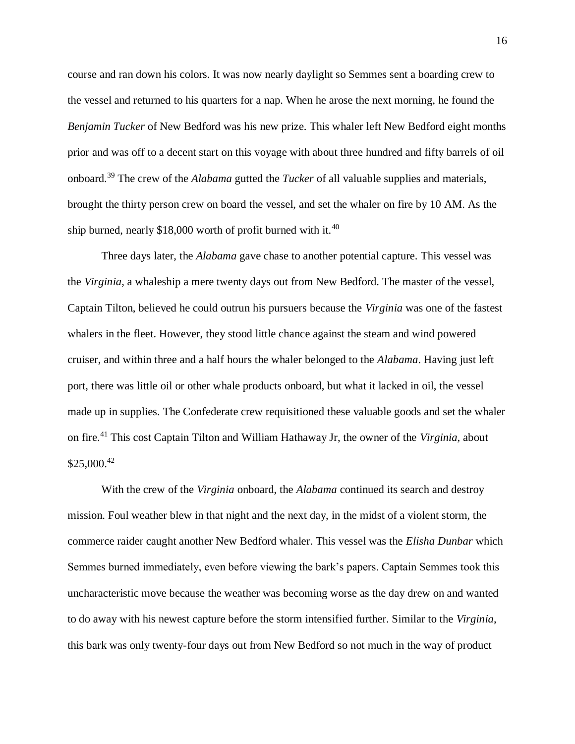course and ran down his colors. It was now nearly daylight so Semmes sent a boarding crew to the vessel and returned to his quarters for a nap. When he arose the next morning, he found the *Benjamin Tucker* of New Bedford was his new prize. This whaler left New Bedford eight months prior and was off to a decent start on this voyage with about three hundred and fifty barrels of oil onboard.<sup>39</sup> The crew of the *Alabama* gutted the *Tucker* of all valuable supplies and materials, brought the thirty person crew on board the vessel, and set the whaler on fire by 10 AM. As the ship burned, nearly \$18,000 worth of profit burned with it.<sup>40</sup>

Three days later, the *Alabama* gave chase to another potential capture. This vessel was the *Virginia*, a whaleship a mere twenty days out from New Bedford. The master of the vessel, Captain Tilton, believed he could outrun his pursuers because the *Virginia* was one of the fastest whalers in the fleet. However, they stood little chance against the steam and wind powered cruiser, and within three and a half hours the whaler belonged to the *Alabama*. Having just left port, there was little oil or other whale products onboard, but what it lacked in oil, the vessel made up in supplies. The Confederate crew requisitioned these valuable goods and set the whaler on fire.<sup>41</sup> This cost Captain Tilton and William Hathaway Jr, the owner of the *Virginia,* about  $$25,000.<sup>42</sup>$ 

With the crew of the *Virginia* onboard, the *Alabama* continued its search and destroy mission. Foul weather blew in that night and the next day, in the midst of a violent storm, the commerce raider caught another New Bedford whaler. This vessel was the *Elisha Dunbar* which Semmes burned immediately, even before viewing the bark's papers. Captain Semmes took this uncharacteristic move because the weather was becoming worse as the day drew on and wanted to do away with his newest capture before the storm intensified further. Similar to the *Virginia*, this bark was only twenty-four days out from New Bedford so not much in the way of product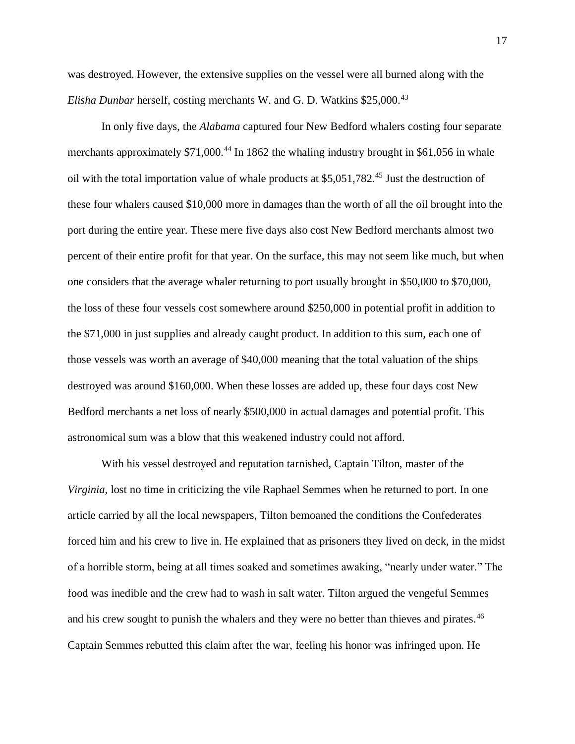was destroyed. However, the extensive supplies on the vessel were all burned along with the *Elisha Dunbar* herself, costing merchants W. and G. D. Watkins \$25,000.<sup>43</sup>

In only five days, the *Alabama* captured four New Bedford whalers costing four separate merchants approximately  $$71,000$ <sup>44</sup> In 1862 the whaling industry brought in \$61,056 in whale oil with the total importation value of whale products at \$5,051,782.<sup>45</sup> Just the destruction of these four whalers caused \$10,000 more in damages than the worth of all the oil brought into the port during the entire year. These mere five days also cost New Bedford merchants almost two percent of their entire profit for that year. On the surface, this may not seem like much, but when one considers that the average whaler returning to port usually brought in \$50,000 to \$70,000, the loss of these four vessels cost somewhere around \$250,000 in potential profit in addition to the \$71,000 in just supplies and already caught product. In addition to this sum, each one of those vessels was worth an average of \$40,000 meaning that the total valuation of the ships destroyed was around \$160,000. When these losses are added up, these four days cost New Bedford merchants a net loss of nearly \$500,000 in actual damages and potential profit. This astronomical sum was a blow that this weakened industry could not afford.

With his vessel destroyed and reputation tarnished, Captain Tilton, master of the *Virginia,* lost no time in criticizing the vile Raphael Semmes when he returned to port. In one article carried by all the local newspapers, Tilton bemoaned the conditions the Confederates forced him and his crew to live in. He explained that as prisoners they lived on deck, in the midst of a horrible storm, being at all times soaked and sometimes awaking, "nearly under water." The food was inedible and the crew had to wash in salt water. Tilton argued the vengeful Semmes and his crew sought to punish the whalers and they were no better than thieves and pirates.<sup>46</sup> Captain Semmes rebutted this claim after the war, feeling his honor was infringed upon. He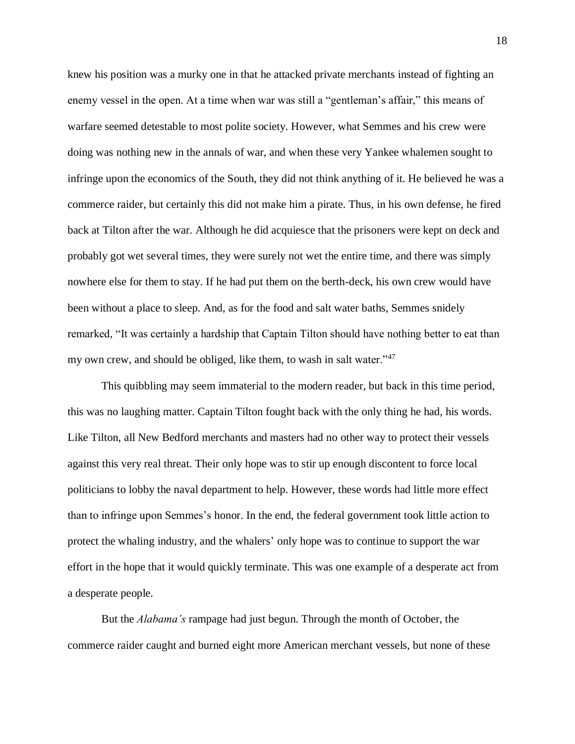knew his position was a murky one in that he attacked private merchants instead of fighting an enemy vessel in the open. At a time when war was still a "gentleman's affair," this means of warfare seemed detestable to most polite society. However, what Semmes and his crew were doing was nothing new in the annals of war, and when these very Yankee whalemen sought to infringe upon the economics of the South, they did not think anything of it. He believed he was a commerce raider, but certainly this did not make him a pirate. Thus, in his own defense, he fired back at Tilton after the war. Although he did acquiesce that the prisoners were kept on deck and probably got wet several times, they were surely not wet the entire time, and there was simply nowhere else for them to stay. If he had put them on the berth-deck, his own crew would have been without a place to sleep. And, as for the food and salt water baths, Semmes snidely remarked, "It was certainly a hardship that Captain Tilton should have nothing better to eat than my own crew, and should be obliged, like them, to wash in salt water."<sup>47</sup>

This quibbling may seem immaterial to the modern reader, but back in this time period, this was no laughing matter. Captain Tilton fought back with the only thing he had, his words. Like Tilton, all New Bedford merchants and masters had no other way to protect their vessels against this very real threat. Their only hope was to stir up enough discontent to force local politicians to lobby the naval department to help. However, these words had little more effect than to infringe upon Semmes's honor. In the end, the federal government took little action to protect the whaling industry, and the whalers' only hope was to continue to support the war effort in the hope that it would quickly terminate. This was one example of a desperate act from a desperate people.

But the *Alabama's* rampage had just begun. Through the month of October, the commerce raider caught and burned eight more American merchant vessels, but none of these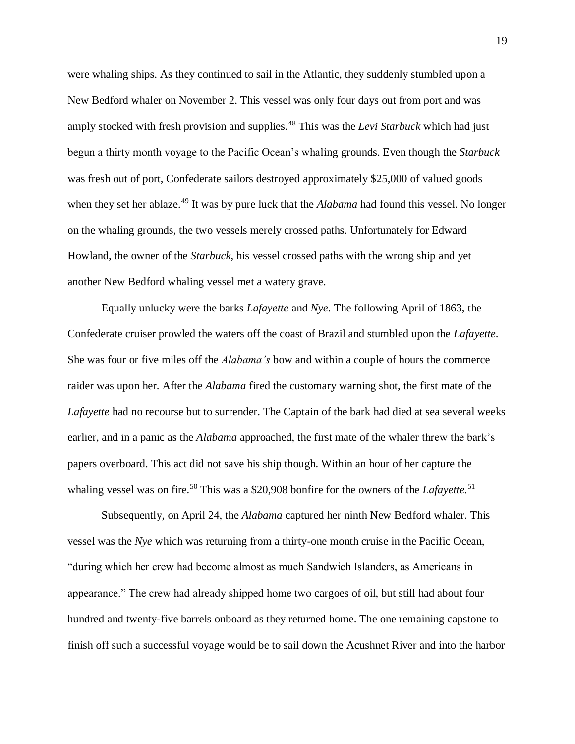were whaling ships. As they continued to sail in the Atlantic, they suddenly stumbled upon a New Bedford whaler on November 2. This vessel was only four days out from port and was amply stocked with fresh provision and supplies.<sup>48</sup> This was the *Levi Starbuck* which had just begun a thirty month voyage to the Pacific Ocean's whaling grounds. Even though the *Starbuck*  was fresh out of port, Confederate sailors destroyed approximately \$25,000 of valued goods when they set her ablaze.<sup>49</sup> It was by pure luck that the *Alabama* had found this vessel. No longer on the whaling grounds, the two vessels merely crossed paths. Unfortunately for Edward Howland, the owner of the *Starbuck*, his vessel crossed paths with the wrong ship and yet another New Bedford whaling vessel met a watery grave.

Equally unlucky were the barks *Lafayette* and *Nye*. The following April of 1863, the Confederate cruiser prowled the waters off the coast of Brazil and stumbled upon the *Lafayette*. She was four or five miles off the *Alabama's* bow and within a couple of hours the commerce raider was upon her. After the *Alabama* fired the customary warning shot, the first mate of the *Lafayette* had no recourse but to surrender. The Captain of the bark had died at sea several weeks earlier, and in a panic as the *Alabama* approached, the first mate of the whaler threw the bark's papers overboard. This act did not save his ship though. Within an hour of her capture the whaling vessel was on fire.<sup>50</sup> This was a \$20,908 bonfire for the owners of the *Lafayette*.<sup>51</sup>

Subsequently, on April 24, the *Alabama* captured her ninth New Bedford whaler. This vessel was the *Nye* which was returning from a thirty-one month cruise in the Pacific Ocean, "during which her crew had become almost as much Sandwich Islanders, as Americans in appearance." The crew had already shipped home two cargoes of oil, but still had about four hundred and twenty-five barrels onboard as they returned home. The one remaining capstone to finish off such a successful voyage would be to sail down the Acushnet River and into the harbor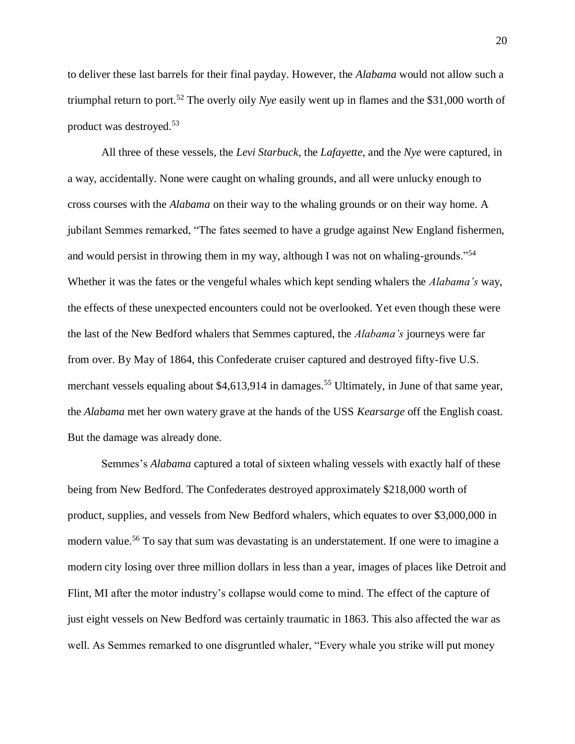to deliver these last barrels for their final payday. However, the *Alabama* would not allow such a triumphal return to port.<sup>52</sup> The overly oily *Nye* easily went up in flames and the \$31,000 worth of product was destroyed.<sup>53</sup>

All three of these vessels, the *Levi Starbuck*, the *Lafayette*, and the *Nye* were captured, in a way, accidentally. None were caught on whaling grounds, and all were unlucky enough to cross courses with the *Alabama* on their way to the whaling grounds or on their way home. A jubilant Semmes remarked, "The fates seemed to have a grudge against New England fishermen, and would persist in throwing them in my way, although I was not on whaling-grounds."<sup>54</sup> Whether it was the fates or the vengeful whales which kept sending whalers the *Alabama's* way, the effects of these unexpected encounters could not be overlooked. Yet even though these were the last of the New Bedford whalers that Semmes captured, the *Alabama's* journeys were far from over. By May of 1864, this Confederate cruiser captured and destroyed fifty-five U.S. merchant vessels equaling about  $$4,613,914$  in damages.<sup>55</sup> Ultimately, in June of that same year, the *Alabama* met her own watery grave at the hands of the USS *Kearsarge* off the English coast. But the damage was already done.

Semmes's *Alabama* captured a total of sixteen whaling vessels with exactly half of these being from New Bedford. The Confederates destroyed approximately \$218,000 worth of product, supplies, and vessels from New Bedford whalers, which equates to over \$3,000,000 in modern value.<sup>56</sup> To say that sum was devastating is an understatement. If one were to imagine a modern city losing over three million dollars in less than a year, images of places like Detroit and Flint, MI after the motor industry's collapse would come to mind. The effect of the capture of just eight vessels on New Bedford was certainly traumatic in 1863. This also affected the war as well. As Semmes remarked to one disgruntled whaler, "Every whale you strike will put money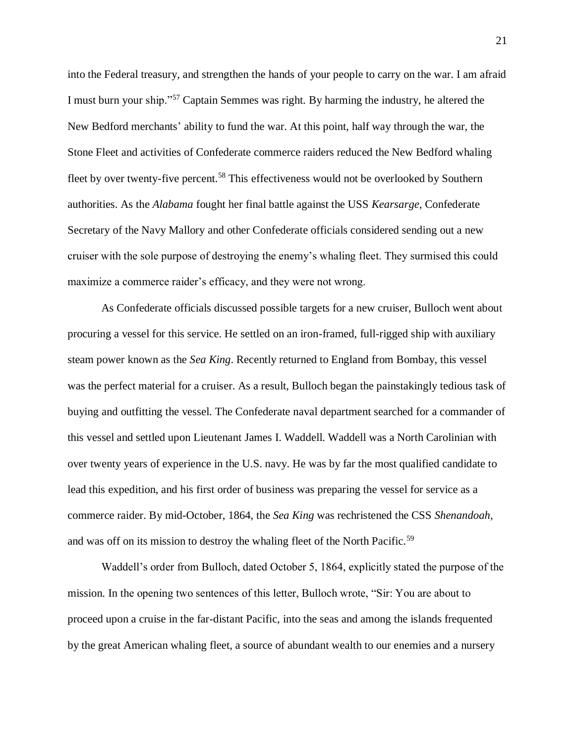into the Federal treasury, and strengthen the hands of your people to carry on the war. I am afraid I must burn your ship."<sup>57</sup> Captain Semmes was right. By harming the industry, he altered the New Bedford merchants' ability to fund the war. At this point, half way through the war, the Stone Fleet and activities of Confederate commerce raiders reduced the New Bedford whaling fleet by over twenty-five percent.<sup>58</sup> This effectiveness would not be overlooked by Southern authorities. As the *Alabama* fought her final battle against the USS *Kearsarge*, Confederate Secretary of the Navy Mallory and other Confederate officials considered sending out a new cruiser with the sole purpose of destroying the enemy's whaling fleet. They surmised this could maximize a commerce raider's efficacy, and they were not wrong.

As Confederate officials discussed possible targets for a new cruiser, Bulloch went about procuring a vessel for this service. He settled on an iron-framed, full-rigged ship with auxiliary steam power known as the *Sea King*. Recently returned to England from Bombay, this vessel was the perfect material for a cruiser. As a result, Bulloch began the painstakingly tedious task of buying and outfitting the vessel. The Confederate naval department searched for a commander of this vessel and settled upon Lieutenant James I. Waddell. Waddell was a North Carolinian with over twenty years of experience in the U.S. navy. He was by far the most qualified candidate to lead this expedition, and his first order of business was preparing the vessel for service as a commerce raider. By mid-October, 1864, the *Sea King* was rechristened the CSS *Shenandoah,* and was off on its mission to destroy the whaling fleet of the North Pacific.<sup>59</sup>

Waddell's order from Bulloch, dated October 5, 1864, explicitly stated the purpose of the mission. In the opening two sentences of this letter, Bulloch wrote, "Sir: You are about to proceed upon a cruise in the far-distant Pacific, into the seas and among the islands frequented by the great American whaling fleet, a source of abundant wealth to our enemies and a nursery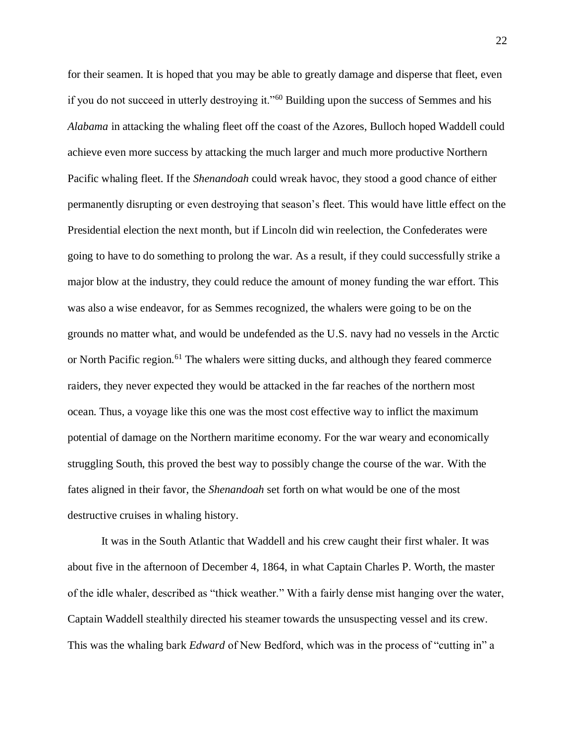for their seamen. It is hoped that you may be able to greatly damage and disperse that fleet, even if you do not succeed in utterly destroying it."<sup>60</sup> Building upon the success of Semmes and his *Alabama* in attacking the whaling fleet off the coast of the Azores, Bulloch hoped Waddell could achieve even more success by attacking the much larger and much more productive Northern Pacific whaling fleet. If the *Shenandoah* could wreak havoc, they stood a good chance of either permanently disrupting or even destroying that season's fleet. This would have little effect on the Presidential election the next month, but if Lincoln did win reelection, the Confederates were going to have to do something to prolong the war. As a result, if they could successfully strike a major blow at the industry, they could reduce the amount of money funding the war effort. This was also a wise endeavor, for as Semmes recognized, the whalers were going to be on the grounds no matter what, and would be undefended as the U.S. navy had no vessels in the Arctic or North Pacific region.<sup>61</sup> The whalers were sitting ducks, and although they feared commerce raiders, they never expected they would be attacked in the far reaches of the northern most ocean. Thus, a voyage like this one was the most cost effective way to inflict the maximum potential of damage on the Northern maritime economy. For the war weary and economically struggling South, this proved the best way to possibly change the course of the war. With the fates aligned in their favor, the *Shenandoah* set forth on what would be one of the most destructive cruises in whaling history.

It was in the South Atlantic that Waddell and his crew caught their first whaler. It was about five in the afternoon of December 4, 1864, in what Captain Charles P. Worth, the master of the idle whaler, described as "thick weather." With a fairly dense mist hanging over the water, Captain Waddell stealthily directed his steamer towards the unsuspecting vessel and its crew. This was the whaling bark *Edward* of New Bedford, which was in the process of "cutting in" a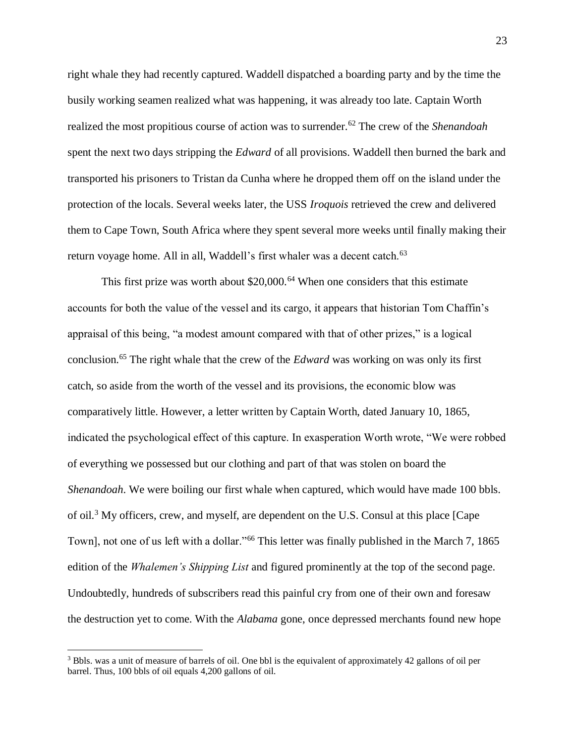right whale they had recently captured. Waddell dispatched a boarding party and by the time the busily working seamen realized what was happening, it was already too late. Captain Worth realized the most propitious course of action was to surrender.<sup>62</sup> The crew of the *Shenandoah* spent the next two days stripping the *Edward* of all provisions. Waddell then burned the bark and transported his prisoners to Tristan da Cunha where he dropped them off on the island under the protection of the locals. Several weeks later, the USS *Iroquois* retrieved the crew and delivered them to Cape Town, South Africa where they spent several more weeks until finally making their return voyage home. All in all, Waddell's first whaler was a decent catch.<sup>63</sup>

This first prize was worth about  $$20,000$ .<sup>64</sup> When one considers that this estimate accounts for both the value of the vessel and its cargo, it appears that historian Tom Chaffin's appraisal of this being, "a modest amount compared with that of other prizes," is a logical conclusion.<sup>65</sup> The right whale that the crew of the *Edward* was working on was only its first catch, so aside from the worth of the vessel and its provisions, the economic blow was comparatively little. However, a letter written by Captain Worth, dated January 10, 1865, indicated the psychological effect of this capture. In exasperation Worth wrote, "We were robbed of everything we possessed but our clothing and part of that was stolen on board the *Shenandoah*. We were boiling our first whale when captured, which would have made 100 bbls. of oil.<sup>3</sup> My officers, crew, and myself, are dependent on the U.S. Consul at this place [Cape Town], not one of us left with a dollar."<sup>66</sup> This letter was finally published in the March 7, 1865 edition of the *Whalemen's Shipping List* and figured prominently at the top of the second page. Undoubtedly, hundreds of subscribers read this painful cry from one of their own and foresaw the destruction yet to come. With the *Alabama* gone, once depressed merchants found new hope

 $\overline{\phantom{a}}$ 

<sup>&</sup>lt;sup>3</sup> Bbls. was a unit of measure of barrels of oil. One bbl is the equivalent of approximately 42 gallons of oil per barrel. Thus, 100 bbls of oil equals 4,200 gallons of oil.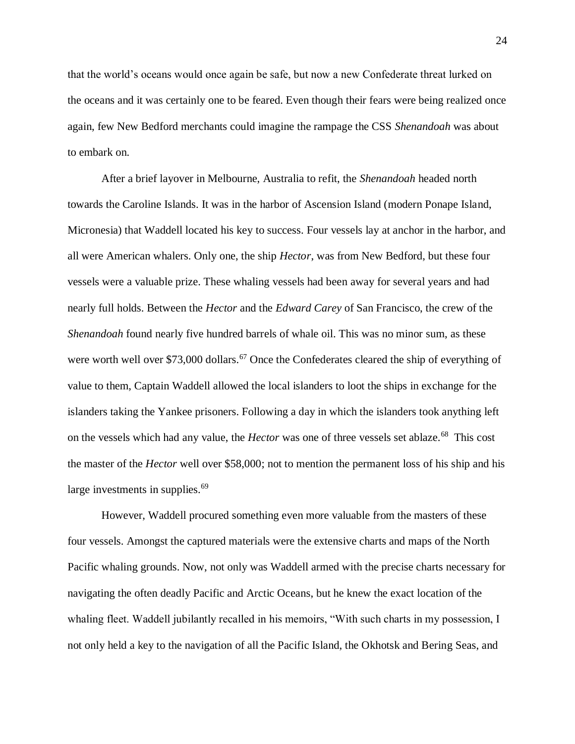that the world's oceans would once again be safe, but now a new Confederate threat lurked on the oceans and it was certainly one to be feared. Even though their fears were being realized once again, few New Bedford merchants could imagine the rampage the CSS *Shenandoah* was about to embark on.

After a brief layover in Melbourne, Australia to refit, the *Shenandoah* headed north towards the Caroline Islands. It was in the harbor of Ascension Island (modern Ponape Island, Micronesia) that Waddell located his key to success. Four vessels lay at anchor in the harbor, and all were American whalers. Only one, the ship *Hector*, was from New Bedford, but these four vessels were a valuable prize. These whaling vessels had been away for several years and had nearly full holds. Between the *Hector* and the *Edward Carey* of San Francisco, the crew of the *Shenandoah* found nearly five hundred barrels of whale oil. This was no minor sum, as these were worth well over \$73,000 dollars.<sup>67</sup> Once the Confederates cleared the ship of everything of value to them, Captain Waddell allowed the local islanders to loot the ships in exchange for the islanders taking the Yankee prisoners. Following a day in which the islanders took anything left on the vessels which had any value, the *Hector* was one of three vessels set ablaze.<sup>68</sup> This cost the master of the *Hector* well over \$58,000; not to mention the permanent loss of his ship and his large investments in supplies.<sup>69</sup>

However, Waddell procured something even more valuable from the masters of these four vessels. Amongst the captured materials were the extensive charts and maps of the North Pacific whaling grounds. Now, not only was Waddell armed with the precise charts necessary for navigating the often deadly Pacific and Arctic Oceans, but he knew the exact location of the whaling fleet. Waddell jubilantly recalled in his memoirs, "With such charts in my possession, I not only held a key to the navigation of all the Pacific Island, the Okhotsk and Bering Seas, and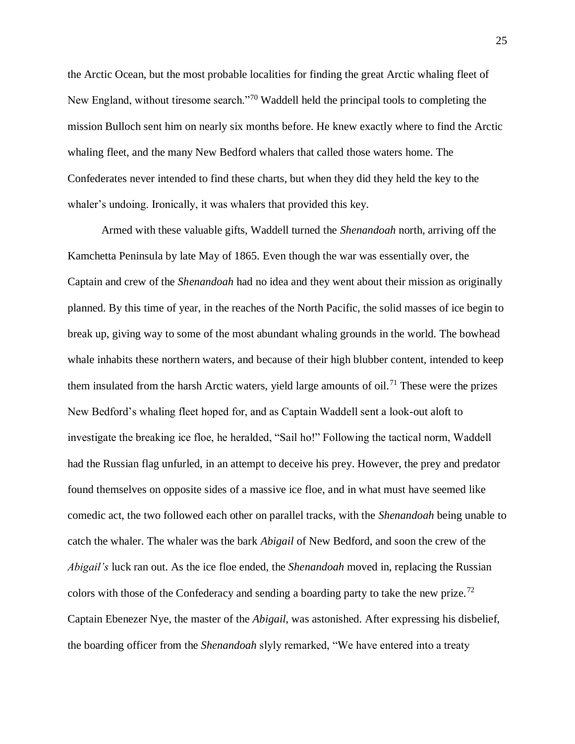the Arctic Ocean, but the most probable localities for finding the great Arctic whaling fleet of New England, without tiresome search."<sup>70</sup> Waddell held the principal tools to completing the mission Bulloch sent him on nearly six months before. He knew exactly where to find the Arctic whaling fleet, and the many New Bedford whalers that called those waters home. The Confederates never intended to find these charts, but when they did they held the key to the whaler's undoing. Ironically, it was whalers that provided this key.

Armed with these valuable gifts, Waddell turned the *Shenandoah* north, arriving off the Kamchetta Peninsula by late May of 1865. Even though the war was essentially over, the Captain and crew of the *Shenandoah* had no idea and they went about their mission as originally planned. By this time of year, in the reaches of the North Pacific, the solid masses of ice begin to break up, giving way to some of the most abundant whaling grounds in the world. The bowhead whale inhabits these northern waters, and because of their high blubber content, intended to keep them insulated from the harsh Arctic waters, yield large amounts of oil.<sup>71</sup> These were the prizes New Bedford's whaling fleet hoped for, and as Captain Waddell sent a look-out aloft to investigate the breaking ice floe, he heralded, "Sail ho!" Following the tactical norm, Waddell had the Russian flag unfurled, in an attempt to deceive his prey. However, the prey and predator found themselves on opposite sides of a massive ice floe, and in what must have seemed like comedic act, the two followed each other on parallel tracks, with the *Shenandoah* being unable to catch the whaler. The whaler was the bark *Abigail* of New Bedford, and soon the crew of the *Abigail's* luck ran out. As the ice floe ended, the *Shenandoah* moved in, replacing the Russian colors with those of the Confederacy and sending a boarding party to take the new prize.<sup>72</sup> Captain Ebenezer Nye, the master of the *Abigail*, was astonished. After expressing his disbelief, the boarding officer from the *Shenandoah* slyly remarked, "We have entered into a treaty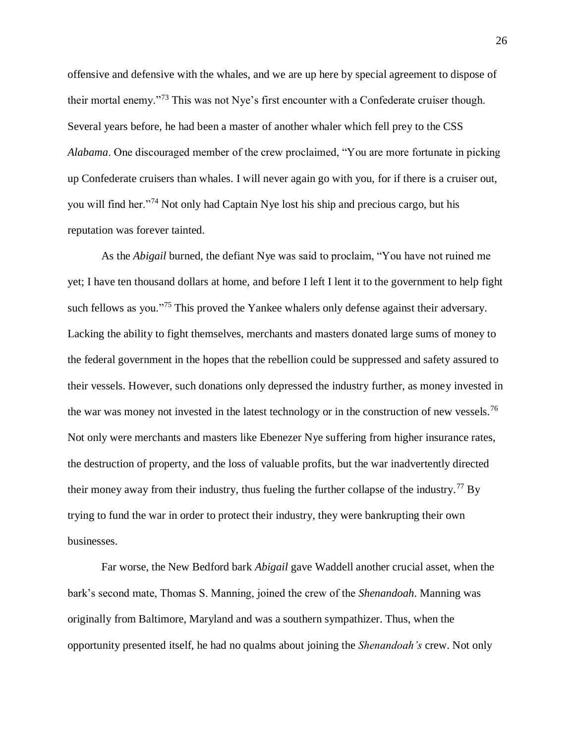offensive and defensive with the whales, and we are up here by special agreement to dispose of their mortal enemy."<sup>73</sup> This was not Nye's first encounter with a Confederate cruiser though. Several years before, he had been a master of another whaler which fell prey to the CSS *Alabama*. One discouraged member of the crew proclaimed, "You are more fortunate in picking up Confederate cruisers than whales. I will never again go with you, for if there is a cruiser out, you will find her."<sup>74</sup> Not only had Captain Nye lost his ship and precious cargo, but his reputation was forever tainted.

As the *Abigail* burned, the defiant Nye was said to proclaim, "You have not ruined me yet; I have ten thousand dollars at home, and before I left I lent it to the government to help fight such fellows as you."<sup>75</sup> This proved the Yankee whalers only defense against their adversary. Lacking the ability to fight themselves, merchants and masters donated large sums of money to the federal government in the hopes that the rebellion could be suppressed and safety assured to their vessels. However, such donations only depressed the industry further, as money invested in the war was money not invested in the latest technology or in the construction of new vessels.<sup>76</sup> Not only were merchants and masters like Ebenezer Nye suffering from higher insurance rates, the destruction of property, and the loss of valuable profits, but the war inadvertently directed their money away from their industry, thus fueling the further collapse of the industry.<sup>77</sup> By trying to fund the war in order to protect their industry, they were bankrupting their own businesses.

Far worse, the New Bedford bark *Abigail* gave Waddell another crucial asset, when the bark's second mate, Thomas S. Manning, joined the crew of the *Shenandoah*. Manning was originally from Baltimore, Maryland and was a southern sympathizer. Thus, when the opportunity presented itself, he had no qualms about joining the *Shenandoah's* crew. Not only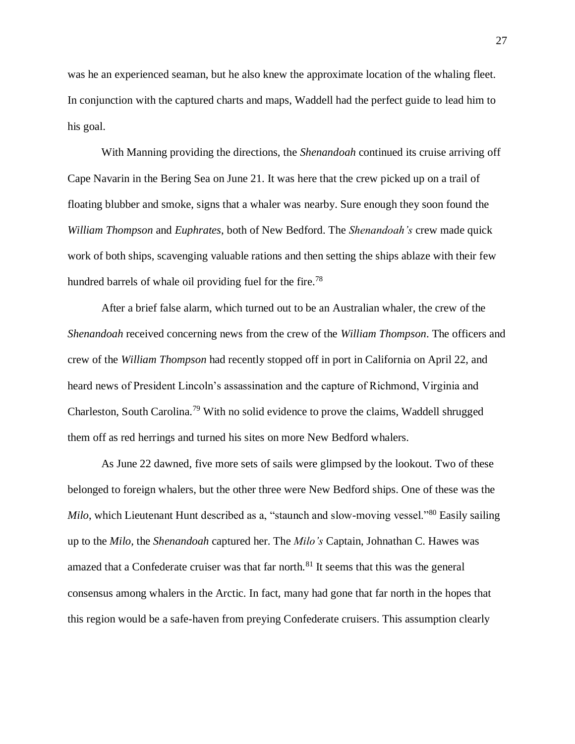was he an experienced seaman, but he also knew the approximate location of the whaling fleet. In conjunction with the captured charts and maps, Waddell had the perfect guide to lead him to his goal.

With Manning providing the directions, the *Shenandoah* continued its cruise arriving off Cape Navarin in the Bering Sea on June 21. It was here that the crew picked up on a trail of floating blubber and smoke, signs that a whaler was nearby. Sure enough they soon found the *William Thompson* and *Euphrates*, both of New Bedford. The *Shenandoah's* crew made quick work of both ships, scavenging valuable rations and then setting the ships ablaze with their few hundred barrels of whale oil providing fuel for the fire.<sup>78</sup>

After a brief false alarm, which turned out to be an Australian whaler, the crew of the *Shenandoah* received concerning news from the crew of the *William Thompson*. The officers and crew of the *William Thompson* had recently stopped off in port in California on April 22, and heard news of President Lincoln's assassination and the capture of Richmond, Virginia and Charleston, South Carolina.<sup>79</sup> With no solid evidence to prove the claims, Waddell shrugged them off as red herrings and turned his sites on more New Bedford whalers.

As June 22 dawned, five more sets of sails were glimpsed by the lookout. Two of these belonged to foreign whalers, but the other three were New Bedford ships. One of these was the *Milo*, which Lieutenant Hunt described as a, "staunch and slow-moving vessel."<sup>80</sup> Easily sailing up to the *Milo,* the *Shenandoah* captured her. The *Milo's* Captain, Johnathan C. Hawes was amazed that a Confederate cruiser was that far north.<sup>81</sup> It seems that this was the general consensus among whalers in the Arctic. In fact, many had gone that far north in the hopes that this region would be a safe-haven from preying Confederate cruisers. This assumption clearly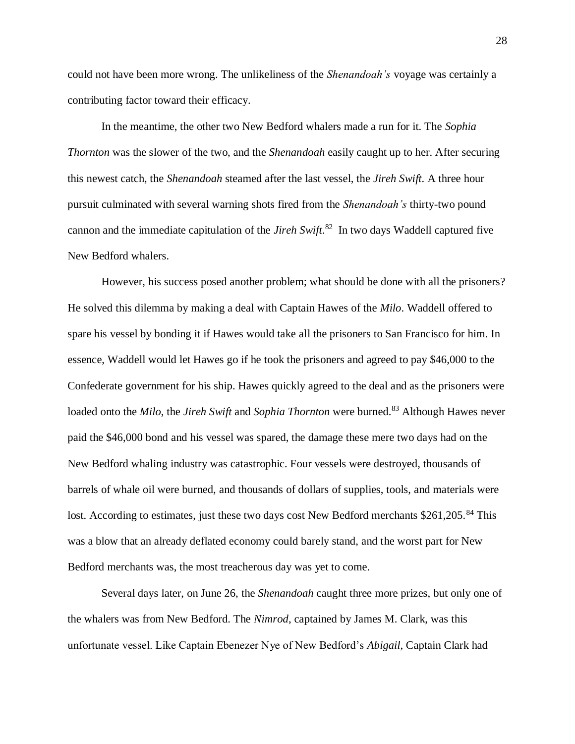could not have been more wrong. The unlikeliness of the *Shenandoah's* voyage was certainly a contributing factor toward their efficacy.

In the meantime, the other two New Bedford whalers made a run for it. The *Sophia Thornton* was the slower of the two, and the *Shenandoah* easily caught up to her. After securing this newest catch, the *Shenandoah* steamed after the last vessel, the *Jireh Swift*. A three hour pursuit culminated with several warning shots fired from the *Shenandoah's* thirty-two pound cannon and the immediate capitulation of the *Jireh Swift*. 82 In two days Waddell captured five New Bedford whalers.

However, his success posed another problem; what should be done with all the prisoners? He solved this dilemma by making a deal with Captain Hawes of the *Milo*. Waddell offered to spare his vessel by bonding it if Hawes would take all the prisoners to San Francisco for him. In essence, Waddell would let Hawes go if he took the prisoners and agreed to pay \$46,000 to the Confederate government for his ship. Hawes quickly agreed to the deal and as the prisoners were loaded onto the *Milo*, the *Jireh Swift* and *Sophia Thornton* were burned.<sup>83</sup> Although Hawes never paid the \$46,000 bond and his vessel was spared, the damage these mere two days had on the New Bedford whaling industry was catastrophic. Four vessels were destroyed, thousands of barrels of whale oil were burned, and thousands of dollars of supplies, tools, and materials were lost. According to estimates, just these two days cost New Bedford merchants \$261,205.<sup>84</sup> This was a blow that an already deflated economy could barely stand, and the worst part for New Bedford merchants was, the most treacherous day was yet to come.

Several days later, on June 26, the *Shenandoah* caught three more prizes, but only one of the whalers was from New Bedford. The *Nimrod*, captained by James M. Clark, was this unfortunate vessel. Like Captain Ebenezer Nye of New Bedford's *Abigail*, Captain Clark had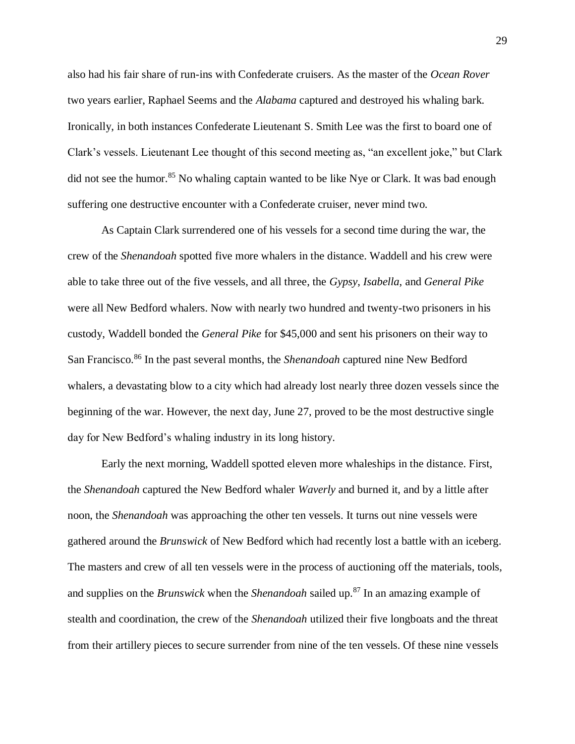also had his fair share of run-ins with Confederate cruisers. As the master of the *Ocean Rover* two years earlier, Raphael Seems and the *Alabama* captured and destroyed his whaling bark. Ironically, in both instances Confederate Lieutenant S. Smith Lee was the first to board one of Clark's vessels. Lieutenant Lee thought of this second meeting as, "an excellent joke," but Clark did not see the humor.<sup>85</sup> No whaling captain wanted to be like Nye or Clark. It was bad enough suffering one destructive encounter with a Confederate cruiser, never mind two.

As Captain Clark surrendered one of his vessels for a second time during the war, the crew of the *Shenandoah* spotted five more whalers in the distance. Waddell and his crew were able to take three out of the five vessels, and all three, the *Gypsy*, *Isabella*, and *General Pike* were all New Bedford whalers. Now with nearly two hundred and twenty-two prisoners in his custody, Waddell bonded the *General Pike* for \$45,000 and sent his prisoners on their way to San Francisco.<sup>86</sup> In the past several months, the *Shenandoah* captured nine New Bedford whalers, a devastating blow to a city which had already lost nearly three dozen vessels since the beginning of the war. However, the next day, June 27, proved to be the most destructive single day for New Bedford's whaling industry in its long history.

Early the next morning, Waddell spotted eleven more whaleships in the distance. First, the *Shenandoah* captured the New Bedford whaler *Waverly* and burned it, and by a little after noon, the *Shenandoah* was approaching the other ten vessels. It turns out nine vessels were gathered around the *Brunswick* of New Bedford which had recently lost a battle with an iceberg. The masters and crew of all ten vessels were in the process of auctioning off the materials, tools, and supplies on the *Brunswick* when the *Shenandoah* sailed up.<sup>87</sup> In an amazing example of stealth and coordination, the crew of the *Shenandoah* utilized their five longboats and the threat from their artillery pieces to secure surrender from nine of the ten vessels. Of these nine vessels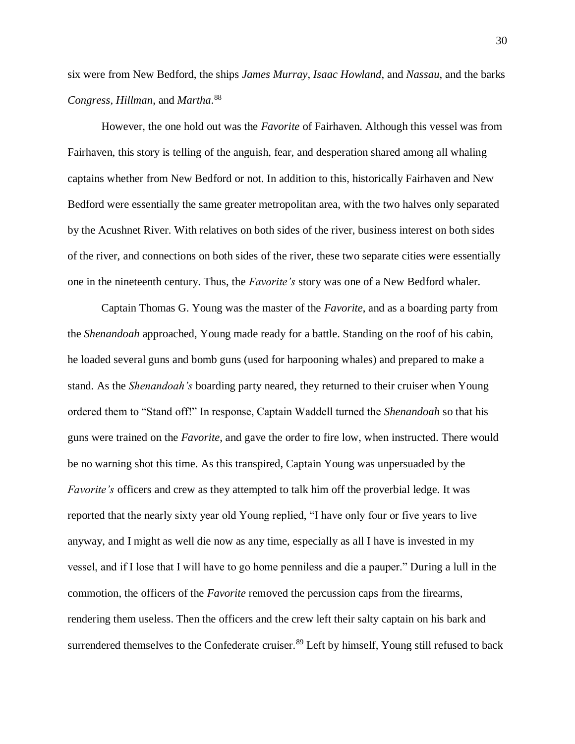six were from New Bedford, the ships *James Murray*, *Isaac Howland*, and *Nassau*, and the barks *Congress, Hillman*, and *Martha*. 88

However, the one hold out was the *Favorite* of Fairhaven. Although this vessel was from Fairhaven, this story is telling of the anguish, fear, and desperation shared among all whaling captains whether from New Bedford or not. In addition to this, historically Fairhaven and New Bedford were essentially the same greater metropolitan area, with the two halves only separated by the Acushnet River. With relatives on both sides of the river, business interest on both sides of the river, and connections on both sides of the river, these two separate cities were essentially one in the nineteenth century. Thus, the *Favorite's* story was one of a New Bedford whaler.

Captain Thomas G. Young was the master of the *Favorite*, and as a boarding party from the *Shenandoah* approached, Young made ready for a battle. Standing on the roof of his cabin, he loaded several guns and bomb guns (used for harpooning whales) and prepared to make a stand. As the *Shenandoah's* boarding party neared, they returned to their cruiser when Young ordered them to "Stand off!" In response, Captain Waddell turned the *Shenandoah* so that his guns were trained on the *Favorite*, and gave the order to fire low, when instructed. There would be no warning shot this time. As this transpired, Captain Young was unpersuaded by the *Favorite's* officers and crew as they attempted to talk him off the proverbial ledge. It was reported that the nearly sixty year old Young replied, "I have only four or five years to live anyway, and I might as well die now as any time, especially as all I have is invested in my vessel, and if I lose that I will have to go home penniless and die a pauper." During a lull in the commotion, the officers of the *Favorite* removed the percussion caps from the firearms, rendering them useless. Then the officers and the crew left their salty captain on his bark and surrendered themselves to the Confederate cruiser.<sup>89</sup> Left by himself, Young still refused to back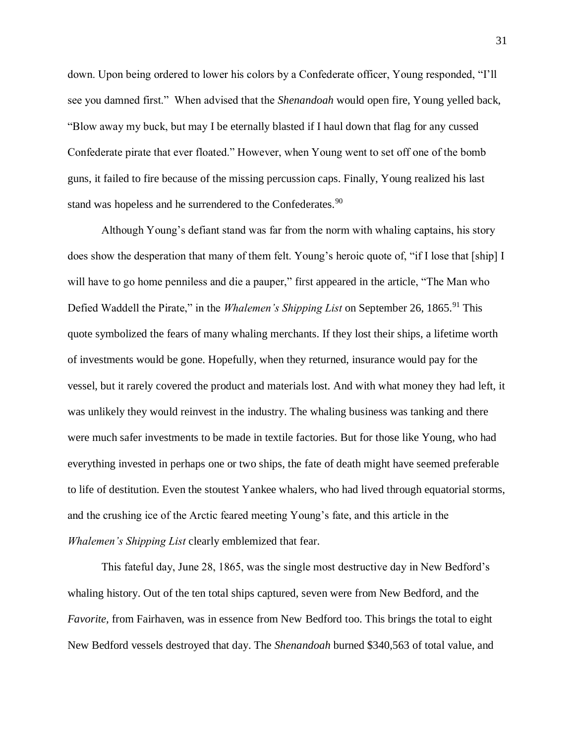down. Upon being ordered to lower his colors by a Confederate officer, Young responded, "I'll see you damned first." When advised that the *Shenandoah* would open fire, Young yelled back, "Blow away my buck, but may I be eternally blasted if I haul down that flag for any cussed Confederate pirate that ever floated." However, when Young went to set off one of the bomb guns, it failed to fire because of the missing percussion caps. Finally, Young realized his last stand was hopeless and he surrendered to the Confederates.<sup>90</sup>

Although Young's defiant stand was far from the norm with whaling captains, his story does show the desperation that many of them felt. Young's heroic quote of, "if I lose that [ship] I will have to go home penniless and die a pauper," first appeared in the article, "The Man who Defied Waddell the Pirate," in the *Whalemen's Shipping List* on September 26, 1865.<sup>91</sup> This quote symbolized the fears of many whaling merchants. If they lost their ships, a lifetime worth of investments would be gone. Hopefully, when they returned, insurance would pay for the vessel, but it rarely covered the product and materials lost. And with what money they had left, it was unlikely they would reinvest in the industry. The whaling business was tanking and there were much safer investments to be made in textile factories. But for those like Young, who had everything invested in perhaps one or two ships, the fate of death might have seemed preferable to life of destitution. Even the stoutest Yankee whalers, who had lived through equatorial storms, and the crushing ice of the Arctic feared meeting Young's fate, and this article in the *Whalemen's Shipping List* clearly emblemized that fear.

This fateful day, June 28, 1865, was the single most destructive day in New Bedford's whaling history. Out of the ten total ships captured, seven were from New Bedford, and the *Favorite,* from Fairhaven, was in essence from New Bedford too. This brings the total to eight New Bedford vessels destroyed that day. The *Shenandoah* burned \$340,563 of total value, and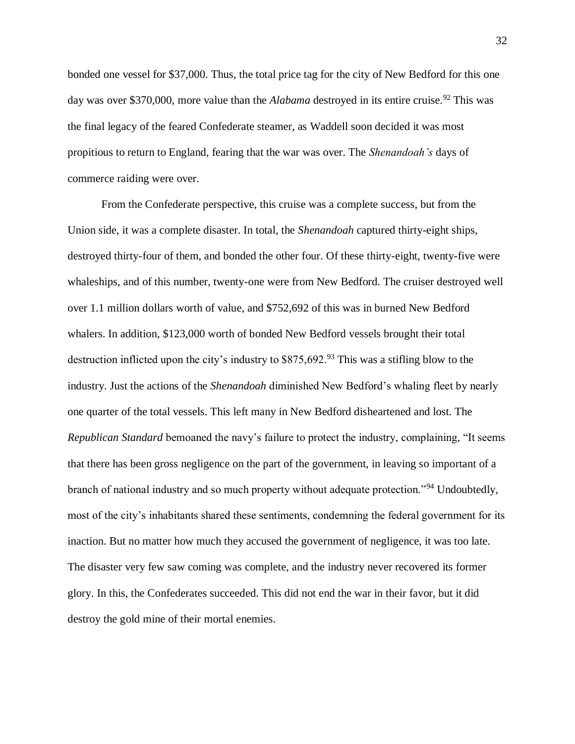bonded one vessel for \$37,000. Thus, the total price tag for the city of New Bedford for this one day was over \$370,000, more value than the *Alabama* destroyed in its entire cruise.<sup>92</sup> This was the final legacy of the feared Confederate steamer, as Waddell soon decided it was most propitious to return to England, fearing that the war was over. The *Shenandoah's* days of commerce raiding were over.

From the Confederate perspective, this cruise was a complete success, but from the Union side, it was a complete disaster. In total, the *Shenandoah* captured thirty-eight ships, destroyed thirty-four of them, and bonded the other four. Of these thirty-eight, twenty-five were whaleships, and of this number, twenty-one were from New Bedford. The cruiser destroyed well over 1.1 million dollars worth of value, and \$752,692 of this was in burned New Bedford whalers. In addition, \$123,000 worth of bonded New Bedford vessels brought their total destruction inflicted upon the city's industry to  $$875,692.<sup>93</sup>$  This was a stifling blow to the industry. Just the actions of the *Shenandoah* diminished New Bedford's whaling fleet by nearly one quarter of the total vessels. This left many in New Bedford disheartened and lost. The *Republican Standard* bemoaned the navy's failure to protect the industry, complaining, "It seems that there has been gross negligence on the part of the government, in leaving so important of a branch of national industry and so much property without adequate protection."<sup>94</sup> Undoubtedly, most of the city's inhabitants shared these sentiments, condemning the federal government for its inaction. But no matter how much they accused the government of negligence, it was too late. The disaster very few saw coming was complete, and the industry never recovered its former glory. In this, the Confederates succeeded. This did not end the war in their favor, but it did destroy the gold mine of their mortal enemies.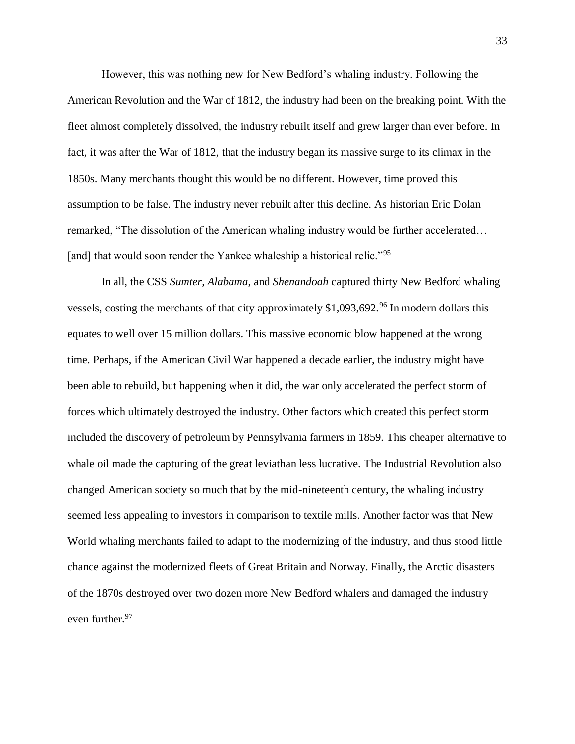However, this was nothing new for New Bedford's whaling industry. Following the American Revolution and the War of 1812, the industry had been on the breaking point. With the fleet almost completely dissolved, the industry rebuilt itself and grew larger than ever before. In fact, it was after the War of 1812, that the industry began its massive surge to its climax in the 1850s. Many merchants thought this would be no different. However, time proved this assumption to be false. The industry never rebuilt after this decline. As historian Eric Dolan remarked, "The dissolution of the American whaling industry would be further accelerated… [and] that would soon render the Yankee whaleship a historical relic."<sup>95</sup>

In all, the CSS *Sumter, Alabama*, and *Shenandoah* captured thirty New Bedford whaling vessels, costing the merchants of that city approximately  $$1,093,692$ .<sup>96</sup> In modern dollars this equates to well over 15 million dollars. This massive economic blow happened at the wrong time. Perhaps, if the American Civil War happened a decade earlier, the industry might have been able to rebuild, but happening when it did, the war only accelerated the perfect storm of forces which ultimately destroyed the industry. Other factors which created this perfect storm included the discovery of petroleum by Pennsylvania farmers in 1859. This cheaper alternative to whale oil made the capturing of the great leviathan less lucrative. The Industrial Revolution also changed American society so much that by the mid-nineteenth century, the whaling industry seemed less appealing to investors in comparison to textile mills. Another factor was that New World whaling merchants failed to adapt to the modernizing of the industry, and thus stood little chance against the modernized fleets of Great Britain and Norway. Finally, the Arctic disasters of the 1870s destroyed over two dozen more New Bedford whalers and damaged the industry even further.<sup>97</sup>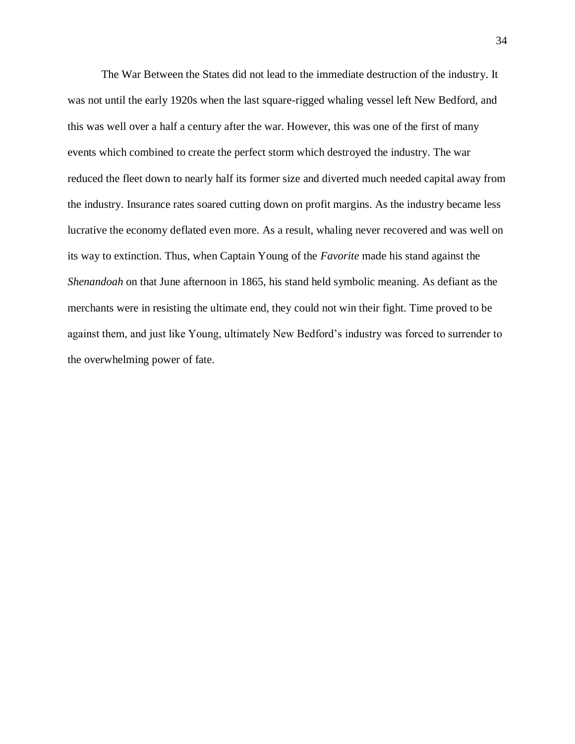The War Between the States did not lead to the immediate destruction of the industry. It was not until the early 1920s when the last square-rigged whaling vessel left New Bedford, and this was well over a half a century after the war. However, this was one of the first of many events which combined to create the perfect storm which destroyed the industry. The war reduced the fleet down to nearly half its former size and diverted much needed capital away from the industry. Insurance rates soared cutting down on profit margins. As the industry became less lucrative the economy deflated even more. As a result, whaling never recovered and was well on its way to extinction. Thus, when Captain Young of the *Favorite* made his stand against the *Shenandoah* on that June afternoon in 1865, his stand held symbolic meaning. As defiant as the merchants were in resisting the ultimate end, they could not win their fight. Time proved to be against them, and just like Young, ultimately New Bedford's industry was forced to surrender to the overwhelming power of fate.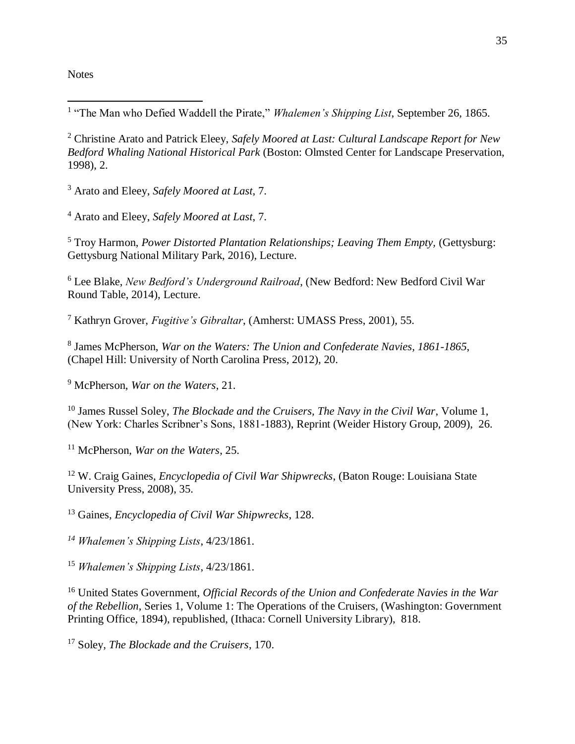**Notes** 

 $\overline{\phantom{a}}$ 

<sup>1</sup> "The Man who Defied Waddell the Pirate," *Whalemen's Shipping List*, September 26, 1865.

<sup>2</sup> Christine Arato and Patrick Eleey, *Safely Moored at Last: Cultural Landscape Report for New Bedford Whaling National Historical Park* (Boston: Olmsted Center for Landscape Preservation, 1998), 2.

<sup>3</sup> Arato and Eleey, *Safely Moored at Last*, 7.

<sup>4</sup> Arato and Eleey, *Safely Moored at Last*, 7.

<sup>5</sup> Troy Harmon, *Power Distorted Plantation Relationships; Leaving Them Empty, (Gettysburg:* Gettysburg National Military Park, 2016), Lecture.

<sup>6</sup> Lee Blake, *New Bedford's Underground Railroad*, (New Bedford: New Bedford Civil War Round Table, 2014), Lecture.

<sup>7</sup> Kathryn Grover, *Fugitive's Gibraltar*, (Amherst: UMASS Press, 2001), 55.

8 James McPherson, *War on the Waters: The Union and Confederate Navies, 1861-1865*, (Chapel Hill: University of North Carolina Press, 2012), 20.

<sup>9</sup> McPherson, *War on the Waters*, 21.

<sup>10</sup> James Russel Soley, *The Blockade and the Cruisers, The Navy in the Civil War*, Volume 1, (New York: Charles Scribner's Sons, 1881-1883), Reprint (Weider History Group, 2009), 26.

<sup>11</sup> McPherson, *War on the Waters*, 25.

<sup>12</sup> W. Craig Gaines, *Encyclopedia of Civil War Shipwrecks*, (Baton Rouge: Louisiana State University Press, 2008), 35.

<sup>13</sup> Gaines, *Encyclopedia of Civil War Shipwrecks*, 128.

*<sup>14</sup> Whalemen's Shipping Lists*, 4/23/1861.

<sup>15</sup> *Whalemen's Shipping Lists*, 4/23/1861.

<sup>16</sup> United States Government, *Official Records of the Union and Confederate Navies in the War of the Rebellion*, Series 1, Volume 1: The Operations of the Cruisers, (Washington: Government Printing Office, 1894), republished, (Ithaca: Cornell University Library), 818.

<sup>17</sup> Soley, *The Blockade and the Cruisers*, 170.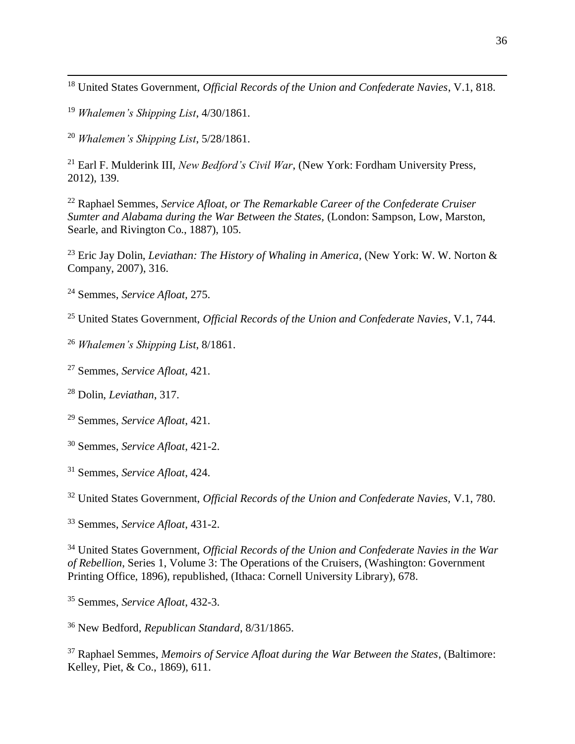United States Government, *Official Records of the Union and Confederate Navies*, V.1, 818.

*Whalemen's Shipping List*, 4/30/1861.

 $\overline{\phantom{a}}$ 

*Whalemen's Shipping List*, 5/28/1861.

 Earl F. Mulderink III, *New Bedford's Civil War*, (New York: Fordham University Press, 2012), 139.

 Raphael Semmes, *Service Afloat, or The Remarkable Career of the Confederate Cruiser Sumter and Alabama during the War Between the States,* (London: Sampson, Low, Marston, Searle, and Rivington Co., 1887), 105.

 Eric Jay Dolin, *Leviathan: The History of Whaling in America*, (New York: W. W. Norton & Company, 2007), 316.

Semmes, *Service Afloat,* 275.

United States Government, *Official Records of the Union and Confederate Navies*, V.1, 744.

*Whalemen's Shipping List*, 8/1861.

Semmes, *Service Afloat,* 421.

Dolin, *Leviathan*, 317.

Semmes, *Service Afloat*, 421.

- Semmes, *Service Afloat*, 421-2.
- Semmes, *Service Afloat*, 424.

United States Government, *Official Records of the Union and Confederate Navies,* V.1, 780.

Semmes, *Service Afloat*, 431-2.

 United States Government, *Official Records of the Union and Confederate Navies in the War of Rebellion*, Series 1, Volume 3: The Operations of the Cruisers, (Washington: Government Printing Office, 1896), republished, (Ithaca: Cornell University Library), 678.

Semmes, *Service Afloat*, 432-3.

New Bedford, *Republican Standard*, 8/31/1865.

 Raphael Semmes, *Memoirs of Service Afloat during the War Between the States*, (Baltimore: Kelley, Piet, & Co., 1869), 611.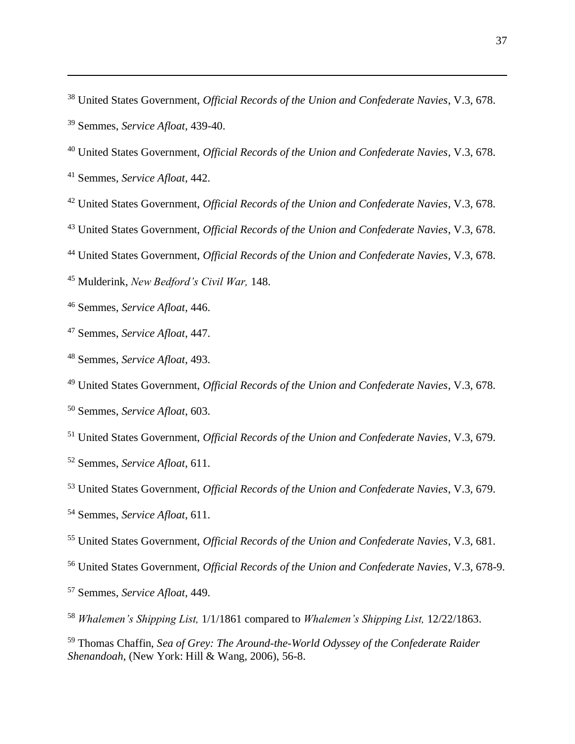United States Government, *Official Records of the Union and Confederate Navies*, V.3, 678. Semmes, *Service Afloat*, 439-40.

United States Government, *Official Records of the Union and Confederate Navies*, V.3, 678.

Semmes, *Service Afloat*, 442.

 $\overline{\phantom{a}}$ 

- United States Government, *Official Records of the Union and Confederate Navies*, V.3, 678.
- United States Government, *Official Records of the Union and Confederate Navies*, V.3, 678.
- United States Government, *Official Records of the Union and Confederate Navies*, V.3, 678.

Mulderink, *New Bedford's Civil War,* 148.

Semmes, *Service Afloat*, 446.

- Semmes, *Service Afloat*, 447.
- Semmes, *Service Afloat*, 493.

 United States Government, *Official Records of the Union and Confederate Navies*, V.3, 678. Semmes, *Service Afloat*, 603.

United States Government, *Official Records of the Union and Confederate Navies*, V.3, 679.

Semmes, *Service Afloat*, 611.

United States Government, *Official Records of the Union and Confederate Navies*, V.3, 679.

Semmes, *Service Afloat*, 611.

United States Government, *Official Records of the Union and Confederate Navies*, V.3, 681.

United States Government, *Official Records of the Union and Confederate Navies*, V.3, 678-9.

Semmes, *Service Afloat*, 449.

*Whalemen's Shipping List,* 1/1/1861 compared to *Whalemen's Shipping List,* 12/22/1863.

 Thomas Chaffin, *Sea of Grey: The Around-the-World Odyssey of the Confederate Raider Shenandoah*, (New York: Hill & Wang, 2006), 56-8.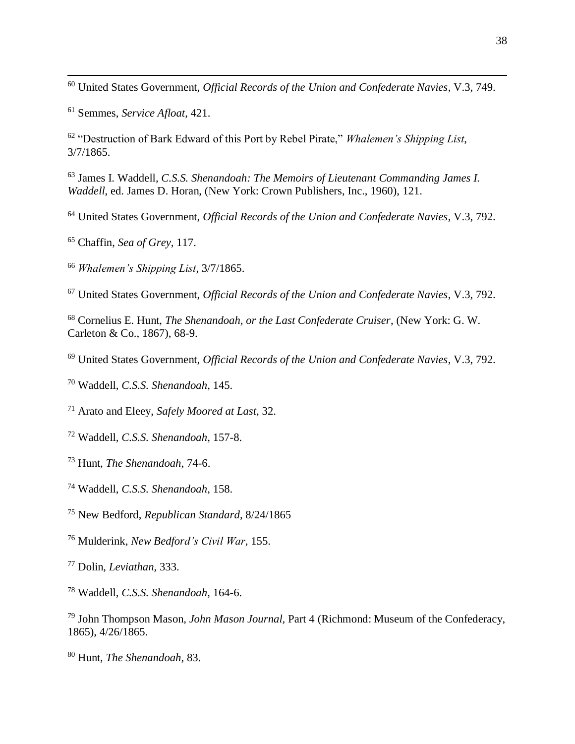United States Government, *Official Records of the Union and Confederate Navies*, V.3, 749.

Semmes, *Service Afloat*, 421.

 $\overline{\phantom{a}}$ 

 "Destruction of Bark Edward of this Port by Rebel Pirate," *Whalemen's Shipping List*, 3/7/1865.

 James I. Waddell*, C.S.S. Shenandoah: The Memoirs of Lieutenant Commanding James I. Waddell*, ed. James D. Horan, (New York: Crown Publishers, Inc., 1960), 121.

United States Government, *Official Records of the Union and Confederate Navies*, V.3, 792.

Chaffin, *Sea of Grey*, 117.

*Whalemen's Shipping List*, 3/7/1865.

United States Government, *Official Records of the Union and Confederate Navies*, V.3, 792.

 Cornelius E. Hunt, *The Shenandoah, or the Last Confederate Cruiser*, (New York: G. W. Carleton & Co., 1867), 68-9.

United States Government, *Official Records of the Union and Confederate Navies*, V.3, 792.

Waddell, *C.S.S. Shenandoah*, 145.

Arato and Eleey, *Safely Moored at Last*, 32.

Waddell, *C.S.S. Shenandoah*, 157-8.

Hunt, *The Shenandoah*, 74-6.

Waddell, *C.S.S. Shenandoah*, 158.

New Bedford, *Republican Standard*, 8/24/1865

Mulderink, *New Bedford's Civil War*, 155.

Dolin, *Leviathan,* 333.

Waddell, *C.S.S. Shenandoah*, 164-6.

 John Thompson Mason, *John Mason Journal,* Part 4 (Richmond: Museum of the Confederacy, 1865), 4/26/1865.

Hunt, *The Shenandoah*, 83.